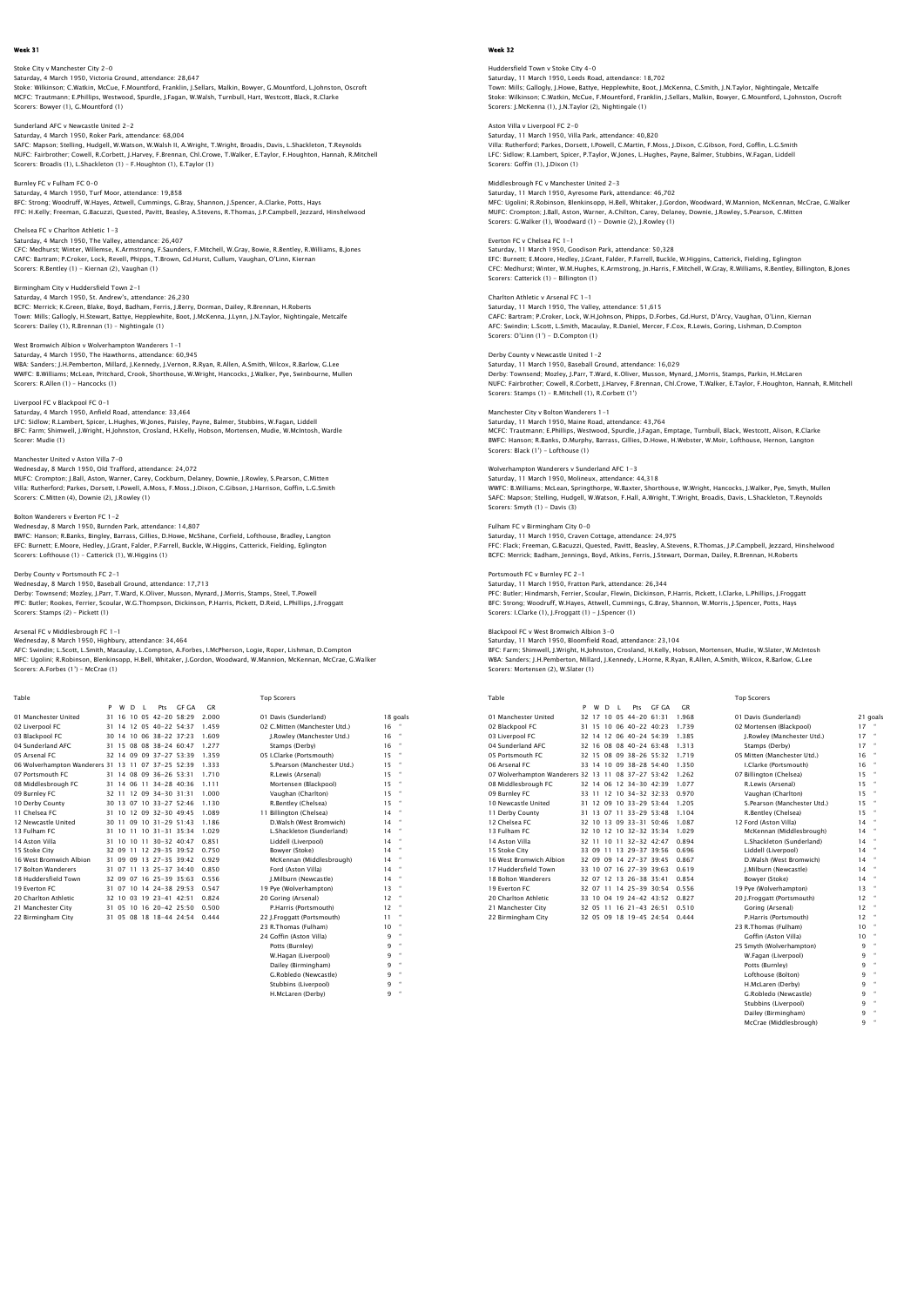Stoke City v Manchester City 2–0<br>Saturday, 4 March 1950, Victoria Ground, attendance: 28,647<br>Stoke: Wilkinson; C.Watkin, McCue, F.Mountford, Franklin, J.Sellars, Malkin, Bowyer, G.Mountford, L.Johnston, Oscroft<br>MCFC: Traut Scorers: Bowyer (1), G.Mountford (1)

Sunderland AFC v Newcastle United 2-2

Saturday, 4 March 1950, Roker Park, attendance: 68,004 SAFC: Mapson; Stelling, Hudgell, W.Watson, W.Walsh II, A.Wright, T.Wright, Broadis, Davis, L.Shackleton, T.Reynolds NUFC: Fairbrother; Cowell, R.Corbett, J.Harvey, F.Brennan, Chl.Crowe, T.Walker, E.Taylor, F.Houghton, Hannah, R.Mitchell<br>Scorers: Broadis (1), L.Shackleton (1) – F.Houghton (1), E.Taylor (1)

Burnley FC v Fulham FC 0-0 Saturday, 4 March 1950, Turf Moor, attendance: 19,858 BFC: Strong; Woodruff, W.Hayes, Attwell, Cummings, G.Bray, Shannon, J.Spencer, A.Clarke, Potts, Hays FFC: H.Kelly; Freeman, G.Bacuzzi, Quested, Pavitt, Beasley, A.Stevens, R.Thomas, J.P.Campbell, Jezzard, Hinshelwood

Chelsea FC v Charlton Athletic 1-3 Saturday, 4 March 1950, The Valley, attendance: 26,407 CFC: Medhurst; Winter, Willemse, K.Armstrong, F.Saunders, F.Mitchell, W.Gray, Bowie, R.Bentley, R.Williams, B.Jones CAFC: Bartram; P.Croker, Lock, Revell, Phipps, T.Brown, Gd.Hurst, Cullum, Vaughan, O'Linn, Kiernan Scorers: R.Bentley (1) - Kiernan (2), Vaughan (1)

Birmingham City v Huddersfield Town 2-1 Saturday, 4 March 1950, St. Andrew's, attendance: 26,230 BCFC: Merrick; K.Green, Blake, Boyd, Badham, Ferris, J.Berry, Dorman, Dailey, R.Brennan, H.Roberts Town: Mills; Gallogly, H.Stewart, Battye, Hepplewhite, Boot, J.McKenna, J.Lynn, J.N.Taylor, Nightingale, Metcalfe Scorers: Dailey (1), R.Brennan (1) – Nightingale (1)

## West Bromwich Albion v Wolverhampton Wanderers 1-1

Saturday, 4 March 1950, The Hawthorns, attendance: 60,945 WBA: Sanders; J.H.Pemberton, Millard, J.Kennedy, J.Vernon, R.Ryan, R.Allen, A.Smith, Wilcox, R.Barlow, G.Lee<br>WWFC: B.Williams; McLean, Pritchard, Crook, Shorthouse, W.Wright, Hancocks, J.Walker, Pye, Swinbourne, Mullen<br>Sco

### Liverpool FC v Blackpool FC 0-1

Saturday, 4 March 1950, Anfield Road, attendance: 33,464 LFC: Sidlow; R.Lambert, Spicer, L.Hughes, W.Jones, Paisley, Payne, Balmer, Stubbins, W.Fagan, Liddell BFC: Farm; Shimwell, J.Wright, H.Johnston, Crosland, H.Kelly, Hobson, Mortensen, Mudie, W.McIntosh, Wardle Scorer: Mudie (1)

Manchester United v Aston Villa 7–0<br>Wednesday, 8 March 1950, Old Trafford, attendance: 24,072<br>MUFC: Crompton; J.Ball, Aston, Warner, Carey, Cockburn, Delaney, Downie, J.Rowley, S.Pearson, C.Mitten<br>Villa: Rutherford; Parkes

## Bolton Wanderers v Everton FC 1-2

Wednesday, 8 March 1950, Burnden Park, attendance: 14,807<br>BWFC: Hanson; R.Banks, Bingley, Barrass, Gillies, D.Howe, McShane, Corfield, Lofthouse, Bradley, Langton<br>EFC: Burnett; E.Moore, Hedley, J.Grant, Falder, P.Farrell,

# Derby County v Portsmouth FC 2-1

Wednesday, 8 March 1950, Baseball Ground, attendance: 17,713<br>Derby: Townsend; Mozley, J.Parr, T.Ward, K.Oliver, Musson, Mynard, J.Morris, Stamps, Steel, T.Powell<br>PFC: Butler: Rookes, Ferrier, Scoular, W.G.Thompson, Dickins Scorers: Stamps (2) – Pickett (1)

Arsenal FC v Middlesbrough FC 1–1<br>Wednesday, 8 March 1950, Highbury, attendance: 34,464<br>AFC: Swindin; L.Scott, L.Smith, Macaulay, L.Compton, A.Forbes, I.McPherson, Logie, Roper, Lishman, D.Compton MFC: Ugolini; R.Robinson, Blenkinsopp, H.Bell, Whitaker, J.Gordon, Woodward, W.Mannion, McKennan, McCrae, G.Walker Scorers: A.Forbes (1') – McCrae (1)

| Table                                              |    |   |   |                           |       |       | <b>Top Scorers</b>            |    |              |
|----------------------------------------------------|----|---|---|---------------------------|-------|-------|-------------------------------|----|--------------|
|                                                    | P  | w | D | Pts                       | GF GA | C.R   |                               |    |              |
| 01 Manchester United                               | 31 |   |   | 16 10 05 42-20 58:29      |       | 2.000 | 01 Davis (Sunderland)         |    | 18 goals     |
| 02 Liverpool FC                                    |    |   |   | 31 14 12 05 40-22 54:37   |       | 1.459 | 02 C.Mitten (Manchester Utd.) | 16 |              |
| 03 Blackpool FC                                    |    |   |   | 30 14 10 06 38-22 37:23   |       | 1.609 | J.Rowley (Manchester Utd.)    | 16 |              |
| 04 Sunderland AFC                                  |    |   |   | 31 15 08 08 38-24 60:47   |       | 1.277 | Stamps (Derby)                | 16 |              |
| 05 Arsenal FC                                      |    |   |   | 32 14 09 09 37-27 53:39   |       | 1.359 | 05 I.Clarke (Portsmouth)      | 15 |              |
| 06 Wolverhampton Wanderers 31 13 11 07 37-25 52:39 |    |   |   |                           |       | 1.333 | S.Pearson (Manchester Utd.)   | 15 |              |
| 07 Portsmouth FC                                   |    |   |   | 31 14 08 09 36-26 53:31   |       | 1.710 | R.Lewis (Arsenal)             | 15 |              |
| 08 Middlesbrough FC                                |    |   |   | 31 14 06 11 34-28 40:36   |       | 1.111 | Mortensen (Blackpool)         | 15 |              |
| 09 Burnley FC                                      |    |   |   | 32 11 12 09 34-30 31:31   |       | 1.000 | Vaughan (Charlton)            | 15 | $\bullet$    |
| 10 Derby County                                    |    |   |   | 30 13 07 10 33-27 52:46   |       | 1.130 | R.Bentley (Chelsea)           | 15 |              |
| 11 Chelsea EC                                      |    |   |   | 31 10 12 09 32-30 49:45   |       | 1.089 | 11 Billington (Chelsea)       | 14 |              |
| 12 Newcastle United                                |    |   |   | 30 11 09 10 31-29 51:43   |       | 1.186 | D.Walsh (West Bromwich)       | 14 |              |
| 13 Fulham FC                                       |    |   |   | 31 10 11 10 31 - 31 35 34 |       | 1.029 | L.Shackleton (Sunderland)     | 14 |              |
| 14 Aston Villa                                     |    |   |   | 31 10 10 11 30-32 40:47   |       | 0.851 | Liddell (Liverpool)           | 14 | $\mathbf{H}$ |
| 15 Stoke City                                      |    |   |   | 32 09 11 12 29-35 39:52   |       | 0.750 | Bowyer (Stoke)                | 14 |              |
| 16 West Bromwich Albion                            | 31 |   |   | 09 09 13 27-35 39:42      |       | 0.929 | McKennan (Middlesbrough)      | 14 | $\bullet$    |
| 17 Bolton Wanderers                                |    |   |   | 31 07 11 13 25-37 34:40   |       | 0.850 | Ford (Aston Villa)            | 14 |              |
| 18 Huddersfield Town                               |    |   |   | 32 09 07 16 25-39 35:63   |       | 0.556 | I.Milburn (Newcastle)         | 14 |              |
| 19 Everton EC                                      |    |   |   | 31 07 10 14 24-38 29:53   |       | 0.547 | 19 Pve (Wolverhampton)        | 13 |              |
| 20 Charlton Athletic                               |    |   |   | 32 10 03 19 23-41 42:51   |       | 0.824 | 20 Goring (Arsenal)           | 12 |              |
| 21 Manchester City                                 |    |   |   | 31 05 10 16 20-42 25:50   |       | 0.500 | P.Harris (Portsmouth)         | 12 | $\mathbf{H}$ |
| 22 Birmingham City                                 |    |   |   | 31 05 08 18 18-44 24:54   |       | 0.444 | 22 J.Froqgatt (Portsmouth)    | 11 |              |
|                                                    |    |   |   |                           |       |       | 23 R.Thomas (Fulham)          | 10 |              |
|                                                    |    |   |   |                           |       |       | 24 Goffin (Aston Villa)       | 9  | $\mathbf{H}$ |
|                                                    |    |   |   |                           |       |       | Potts (Burnley)               | 9  |              |

| 14 | ٠ |
|----|---|
| 14 | ٠ |
| 14 | ٠ |
| 14 | ٠ |
| 13 | ٠ |
| 12 | ٠ |
| 12 | ٠ |
| 11 | ٠ |
| 10 | ٠ |
| ۹  | ٠ |
| 9  | ٠ |
| q  | ٠ |
| ۹  | ٠ |
| q  | ٠ |
| q  | ٠ |
| 9  | ٠ |
|    |   |

### Week 32

Huddersfield Town v Stoke City 4-0 Saturday, 11 March 1950, Leeds Road, attendance: 18,702 Town: Mills; Gallogly, J.Howe, Battye, Hepplewhite, Boot, J.McKenna, C.Smith, J.N.Taylor, Nightingale, Metcalfe<br>Stoke: Wilkinson; C.Watkin, McCue, F.Mountford, Franklin, J.Sellars, Malkin, Bowyer, G.Mountford, L.Johnston, Scorers: J.McKenna (1), J.N.Taylor (2), Nightingale (1)

Aston Villa v Liverpool FC 2-0 Saturday, 11 March 1950, Villa Park, attendance: 40,820 Villa: Rutherford; Parkes, Dorsett, I.Powell, C.Martin, F.Moss, J.Dixon, C.Gibson, Ford, Goffin, L.G.Smith LFC: Sidlow; R.Lambert, Spicer, P.Taylor, W.Jones, L.Hughes, Payne, Balmer, Stubbins, W.Fagan, Liddell Scorers: Goffin (1), J.Dixon (1)

Middlesbrough FC v Manchester United 2-3 Saturday, 11 March 1950, Ayresome Park, attendance: 46,702 MFC: Ugolini; R.Robinson, Blenkinsopp, H.Bell, Whitaker, J.Gordon, Woodward, W.Mannion, McKennan, McCrae, G.Walker MUFC: Crompton; J.Ball, Aston, Warner, A.Chilton, Carey, Delaney, Downie, J.Rowley, S.Pearson, C.Mitten Scorers: G.Walker (1), Woodward (1) - Downie (2), J.Rowley (1)

## Everton FC v Chelsea FC 1-1 Saturday, 11 March 1950, Goodison Park, attendance: 50,328 EFC: Burnett; E.Moore, Hedley, J.Grant, Falder, P.Farrell, Buckle, W.Higgins, Catterick, Fielding, Eglington<br>CFC: Medhurst; Winter, W.M.Hughes, K.Armstronq, Jn.Harris, F.Mitchell, W.Gray, R.Williams, R.Bentley, Billington, Scorers: Catterick (1) - Billington (1)

## Charlton Athletic v Arsenal FC 1-1

Saturday, 11 March 1950, The Valley, attendance: 51,615 CAFC: Bartram; P.Croker, Lock, W.H.Johnson, Phipps, D.Forbes, Gd.Hurst, D'Arcy, Vaughan, O'Linn, Kiernan<br>AFC: Swindin; L.Scott, L.Smith, Macaulay, R.Daniel, Mercer, F.Cox, R.Lewis, Goring, Lishman, D.Compton<br>Scorers: O'Lin

## Derby County v Newcastle United 1-2

Saturday, 11 March 1950, Baseball Ground, attendance: 16,029<br>Derby: Townsend; Mozley, J.Parr, T.Ward, K.Oliver, Musson, Mynard, J.Morris, Stamps, Parkin, H.McLaren<br>NUFC: Fairbrother; Cowell, R.Corbett, J.Harvey, F.Brennan,

## Manchester City v Bolton Wanderers 1-1

Saturday, 11 March 1950, Maine Road, attendance: 43,764<br>MCFC: Trautmann; E.Phillips, Westwood, Spurdle, J.Fagan, Emptage, Turnbull, Black, Westcott, Alison, R.Clarke<br>BWFC: Hanson; R.Banks, D.Murphy, Barrass, Gillies, D.How

Wolverhampton Wanderers v Sunderland AFC 1–3<br>Saturday, 11 March 1950, Molineux, attendance: 44,318<br>WWFC: B.Williams; McLean, Springthorpe, W.Baxter, Shorthouse, W.Wright, Hancocks, J.Walker, Pye, Smyth, Mullen<br>WWFC: Mapson Scorers: Smyth (1) - Davis (3)

# Fulham FC v Birmingham City 0-0 Saturday, 11 March 1950, Craven Cottage, attendance: 24,975

FFC: Flack; Freeman, G.Bacuzzi, Quested, Pavitt, Beasley, A.Stevens, R.Thomas, J.P.Campbell, Jezzard, Hinshelwood BCFC: Merrick; Badham, Jennings, Boyd, Atkins, Ferris, J.Stewart, Dorman, Dailey, R.Brennan, H.Roberts

Portsmouth FC v Burnley FC 2–1<br>Saturday, 11 March 1950, Fratton Park, attendance: 26,344<br>PFC: Butler; Hindmarsh, Ferrier, Scoular, Flewin, Dickinson, P.Harris, Pickett, I.Clarke, L.Phillips, J.Froggat<br>BFC: Strong: Woodruff Scorers: I.Clarke (1), J.Froggatt (1) - J.Spencer (1)

Blackpool FC v West Bromwich Albion 3–0<br>Saturday, 11 March 1950, Bloomfield Road, attendance: 23,104<br>BFC: Farm; Shimwell, J.Wright, H.Johnston, Crosland, H.Kelly, Hobson, Mortensen, Mudie, W.Slater, W.McIntosh WBA: Sanders; J.H.Pemberton, Millard, J.Kennedy, L.Horne, R.Ryan, R.Allen, A.Smith, Wilcox, R.Barlow, G.Lee<br>Scorers: Mortensen (2), W.Slater (1) ,..... emberton, mma<br>1sen (2), W.Slater (1)

| Table                                              |   |   |    |    |                         |       |       | <b>Top Scorers</b>                |                      |
|----------------------------------------------------|---|---|----|----|-------------------------|-------|-------|-----------------------------------|----------------------|
|                                                    | P | w | D. | л. | Prs                     | GE GA | C.R   |                                   |                      |
| 01 Manchester United                               |   |   |    |    | 32 17 10 05 44-20 61:31 |       | 1.968 | 01 Davis (Sunderland)             | $21$ qoa             |
| 02 Blackpool FC                                    |   |   |    |    | 31 15 10 06 40-22 40:23 |       | 1.739 | 17<br>02 Mortensen (Blackpool)    |                      |
| 03 Liverpool FC                                    |   |   |    |    | 32 14 12 06 40-24 54 39 |       | 1.385 | 17<br>J.Rowley (Manchester Utd.)  |                      |
| 04 Sunderland AFC                                  |   |   |    |    | 32 16 08 08 40-24 63:48 |       | 1.313 | 17<br>Stamps (Derby)              |                      |
| 05 Portsmouth FC                                   |   |   |    |    | 32 15 08 09 38-26 55:32 |       | 1.719 | 16<br>05 Mitten (Manchester Utd.) |                      |
| 06 Arsenal FC                                      |   |   |    |    | 33 14 10 09 38-28 54:40 |       | 1.350 | 16<br>I.Clarke (Portsmouth)       | $\alpha$             |
| 07 Wolverhampton Wanderers 32 13 11 08 37-27 53:42 |   |   |    |    |                         |       | 1.262 | 15<br>07 Billington (Chelsea)     | $\scriptstyle\alpha$ |
| 08 Middlesbrough FC                                |   |   |    |    | 32 14 06 12 34-30 42:39 |       | 1.077 | 15<br>R.Lewis (Arsenal)           | $\scriptstyle\alpha$ |
| 09 Burnley FC                                      |   |   |    |    | 33 11 12 10 34-32 32:33 |       | 0.970 | 15<br>Vaughan (Charlton)          |                      |
| 10 Newcastle United                                |   |   |    |    | 31 12 09 10 33-29 53:44 |       | 1.205 | 15<br>S.Pearson (Manchester Utd.) |                      |
| 11 Derby County                                    |   |   |    |    | 31 13 07 11 33-29 53:48 |       | 1.104 | 15<br>R.Bentley (Chelsea)         |                      |
| 12 Chelsea EC                                      |   |   |    |    | 32 10 13 09 33-31 50:46 |       | 1.087 | 12 Ford (Aston Villa)<br>14       | $\scriptstyle\alpha$ |
| 13 Fulham FC                                       |   |   |    |    | 32 10 12 10 32-32 35:34 |       | 1.029 | 14<br>McKennan (Middlesbrough)    | $\scriptstyle\alpha$ |
| 14 Aston Villa                                     |   |   |    |    | 32 11 10 11 32-32 42:47 |       | 0.894 | L.Shackleton (Sunderland)<br>14   | $\scriptstyle\alpha$ |
| 15 Stoke City                                      |   |   |    |    | 33 09 11 13 29-37 39:56 |       | 0.696 | 14<br>Liddell (Liverpool)         | $\scriptstyle\alpha$ |
| 16 West Bromwich Albion                            |   |   |    |    | 32 09 09 14 27-37 39:45 |       | 0.867 | D.Walsh (West Bromwich)<br>14     | ٠                    |
| 17 Huddersfield Town                               |   |   |    |    | 33 10 07 16 27-39 39:63 |       | 0.619 | 14<br>I.Milburn (Newcastle)       |                      |
| <b>18 Bolton Wanderers</b>                         |   |   |    |    | 32 07 12 13 26-38 35:41 |       | 0.854 | 14<br>Bowver (Stoke)              |                      |
| 19 Everton EC                                      |   |   |    |    | 32 07 11 14 25-39 30:54 |       | 0.556 | 13<br>19 Pve (Wolverhampton)      | ٠                    |
| 20 Charlton Athletic                               |   |   |    |    | 33 10 04 19 24-42 43:52 |       | 0.827 | 12<br>20 J.Froggatt (Portsmouth)  | $\scriptstyle\alpha$ |
| 21 Manchester City                                 |   |   |    |    | 32 05 11 16 21-43 26:51 |       | 0.510 | 12<br>Goring (Arsenal)            | $\scriptstyle\alpha$ |
| 22 Birmingham City                                 |   |   |    |    | 32 05 09 18 19-45 24:54 |       | 0.444 | 12<br>P.Harris (Portsmouth)       | ٠                    |
|                                                    |   |   |    |    |                         |       |       | 10<br>23 R.Thomas (Fulham)        | $\scriptstyle\alpha$ |
|                                                    |   |   |    |    |                         |       |       | Goffin (Aston Villa)<br>10        |                      |

| 01 Davis (Sunderland)       |           | 21 goal  |
|-----------------------------|-----------|----------|
| 02 Mortensen (Blackpool)    | 17        |          |
| I.Rowley (Manchester Utd.)  | 17        | ×        |
| Stamps (Derby)              | 17        | ×        |
| 05 Mitten (Manchester Utd.) | 16        |          |
| I.Clarke (Portsmouth)       | 16        | ٠        |
| 07 Billington (Chelsea)     | 15        | ×        |
| R.Lewis (Arsenal)           | 15        | $\alpha$ |
| Vaughan (Charlton)          | 15        | $\alpha$ |
| S.Pearson (Manchester Utd.) | 15        | $\alpha$ |
| R.Bentley (Chelsea)         | 15        | ٠        |
| 12 Ford (Aston Villa)       | 14        | ٠        |
| McKennan (Middlesbrough)    | 14        | $\alpha$ |
| L.Shackleton (Sunderland)   | 14        | $\alpha$ |
| Liddell (Liverpool)         | 14        | ٠        |
| D.Walsh (West Bromwich)     | 14        | ×        |
| I.Milburn (Newcastle)       | 14        | ٠        |
| Bowver (Stoke)              | 14        | ×        |
| 19 Pye (Wolverhampton)      | 13        | $\alpha$ |
| 20 J.Froggatt (Portsmouth)  | 12        |          |
| Goring (Arsenal)            | 12        | ٠        |
| P.Harris (Portsmouth)       | $12^{12}$ | $\alpha$ |
| 23 R.Thomas (Fulham)        | 10        |          |
| Goffin (Aston Villa)        | 10        |          |
| 25 Smyth (Wolverhampton)    | ۹         | $\alpha$ |
| W.Fagan (Liverpool)         | ٩         | ٠        |
| Potts (Burnley)             | ٩         | ×        |
| Lofthouse (Bolton)          | ٩         | $\alpha$ |
| H.McLaren (Derby)           | ٩         |          |
| G.Robledo (Newcastle)       | ۹         |          |
| Stubbins (Liverpool)        | ۹         |          |
| Dailey (Birmingham)         | 9         | ٠        |
| McCrae (Middlesbrough)      | ٩         |          |
|                             |           |          |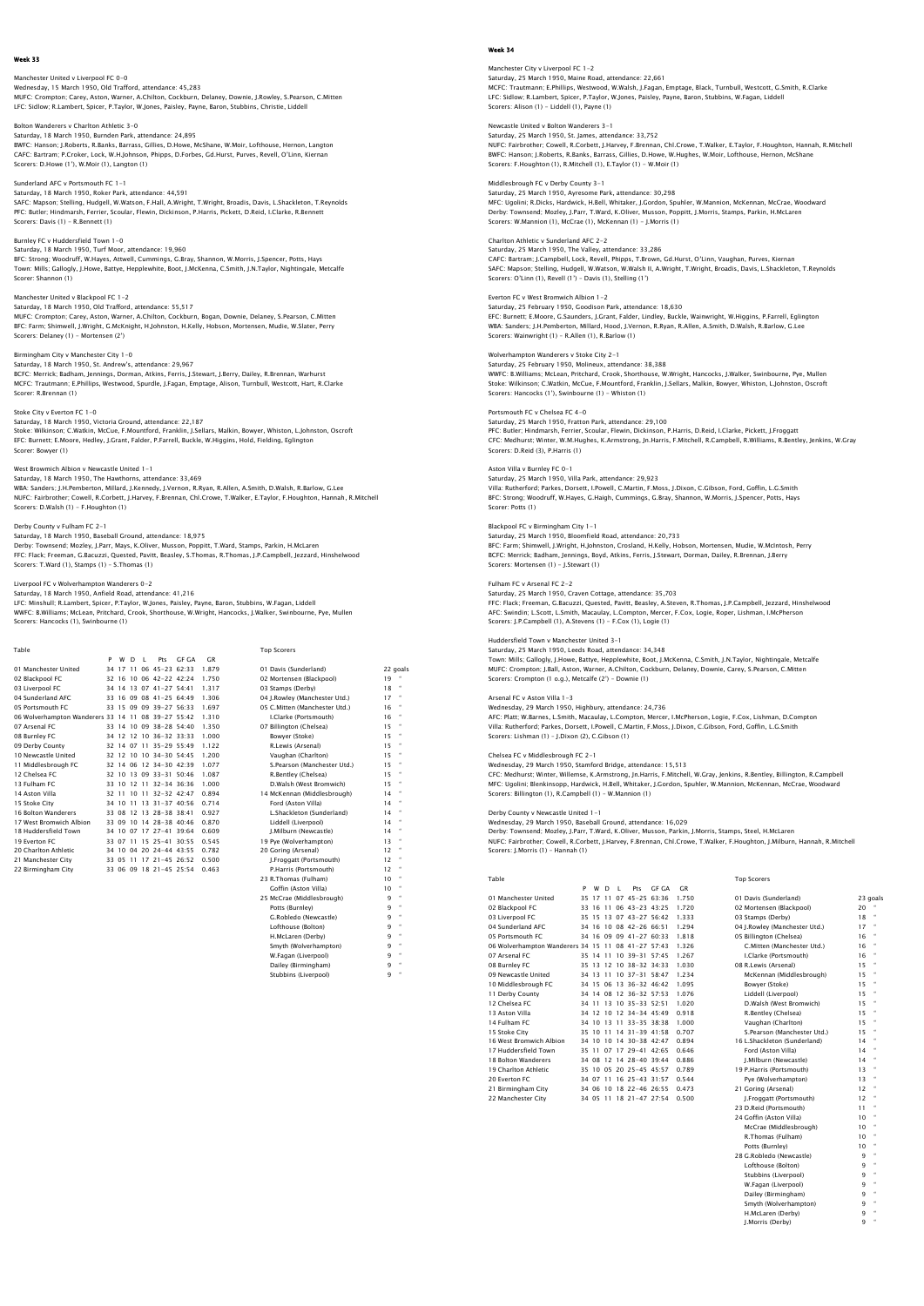### Manchester United v Liverpool FC 0-0

Wednesday, 15 March 1950, Old Trafford, attendance: 45,283 MUFC: Crompton; Carey, Aston, Warner, A.Chilton, Cockburn, Delaney, Downie, J.Rowley, S.Pearson, C.Mitten LFC: Sidlow; R.Lambert, Spicer, P.Taylor, W.Jones, Paisley, Payne, Baron, Stubbins, Christie, Liddell

## Bolton Wanderers v Charlton Athletic 3-0 Saturday, 18 March 1950, Burnden Park, attendance: 24,895 BWFC: Hanson; J.Roberts, R.Banks, Barrass, Gillies, D.Howe, McShane, W.Moir, Lofthouse, Hernon, Langton CAFC: Bartram; P.Croker, Lock, W.H.Johnson, Phipps, D.Forbes, Gd.Hurst, Purves, Revell, O'Linn, Kiernan Scorers: D.Howe (1'), W.Moir (1), Langton (1)

### Sunderland AFC v Portsmouth FC 1-1 Saturday, 18 March 1950, Roker Park, attendance: 44,591 SAFC: Mapson; Stelling, Hudgell, W.Watson, F.Hall, A.Wright, T.Wright, Broadis, Davis, L.Shackleton, T.Reynolds PFC: Butler; Hindmarsh, Ferrier, Scoular, Flewin, Dickinson, P.Harris, Pickett, D.Reid, I.Clarke, R.Bennett Scorers: Davis (1) - R.Bennett (1)

Burnley FC v Huddersfield Town 1-0 Saturday, 18 March 1950, Turf Moor, attendance: 19,960 BFC: Strong; Woodruff, W.Hayes, Attwell, Cummings, G.Bray, Shannon, W.Morris, J.Spencer, Potts, Hays Town: Mills; Gallogly, J.Howe, Battye, Hepplewhite, Boot, J.McKenna, C.Smith, J.N.Taylor, Nightingale, Metcalfe Scorer: Shannon (1)

### Manchester United v Blackpool FC 1-2 Saturday, 18 March 1950, Old Trafford, attendance: 55,517

MUFC: Crompton; Carey, Aston, Warner, A.Chilton, Cockburn, Bogan, Downie, Delaney, S.Pearson, C.Mitten<br>BFC: Farm; Shimwell, J.Wright, G.McKnight, H.Johnston, H.Kelly, Hobson, Mortensen, Mudie, W.Slater, Perry<br>Scorers: Dela

## Birmingham City v Manchester City 1-0

Saturday, 18 March 1950, St. Andrew's, attendance: 29,967<br>BCFC: Merrick; Badham, Jennings, Dorman, Atkins, Ferris, J.Stewart, J.Berry, Dailey, R.Brennan, Warhurst<br>MCFC: Trautmann; E.Phillips, Westwood, Spurdle, J.Faqan, Em Scorer: R.Brennan (1)

### Stoke City v Everton FC 1-0

Saturday, 18 March 1950, Victoria Ground, attendance: 22,187<br>Stoke: Wilkinson; C.Watkin, McCue, F.Mountford, Franklin, J.Sellars, Malkin, Bowyer, Whiston, L.Johnston, Oscroft<br>EFC: Burnett; E.Moore, Hedley, J.Grant, Falder, Scorer: Bowyer (1)

West Browmich Albion v Newcastle United 1–1<br>Saturday, 18 March 1950, The Hawthorns, attendance: 33,469<br>WBA: Sanders, J.H.Pemberton, Millard, J.Kennedy, J.Vernon, R.Ryan, R.Allen, A.Smith, D.Walsh, R.Barlow, G.Lee<br>NUFC: Fai Scorers: D.Walsh (1) - F.Houghton (1)

Derby County v Fulham FC 2-1 Saturday, 18 March 1950, Baseball Ground, attendance: 18,975 Derby: Townsend; Mozley, J.Parr, Mays, K.Oliver, Musson, Poppitt, T.Ward, Stamps, Parkin, H.McLaren FFC: Flack; Freeman, G.Bacuzzi, Quested, Pavitt, Beasley, S.Thomas, R.Thomas, J.P.Campbell, Jezzard, Hinshelwood Scorers: T.Ward (1), Stamps (1) – S.Thomas (1)

WWFC: B.Williams; McLean, Pritchard, Crook, Shorthouse, W.Wright, Hancocks, J.Walker, Swinbourne, Pye, Mullen Scorers: Hancocks (1), Swinbourne (1)

Liverpool FC v Wolverhampton Wanderers 0–2<br>Saturday, 18 March 1950, Anfield Road, attendance: 41,216<br>LFC: Minshull; R.Lambert, Spicer, P.Taylor, W.Jones, Paisley, Payne, Baron, Stubbins, W.Faqan, Liddell

P W D L Pts GF GA GR

### Table Top Scorers

| 01 Manchester United                               |  |  | 34 17 11 06 45-23 62:33 | 1.879 | 01 Davis (Sunderland)         |    | 22 goals  |
|----------------------------------------------------|--|--|-------------------------|-------|-------------------------------|----|-----------|
| 02 Blackpool FC                                    |  |  | 32 16 10 06 42-22 42:24 | 1.750 | 02 Mortensen (Blackpool)      | 19 |           |
| 03 Liverpool FC                                    |  |  | 34 14 13 07 41-27 54:41 | 1.317 | 03 Stamps (Derby)             | 18 |           |
| 04 Sunderland AFC                                  |  |  | 33 16 09 08 41-25 64:49 | 1.306 | 04 I.Rowlev (Manchester Utd.) | 17 | $\bullet$ |
| 05 Portsmouth FC                                   |  |  | 33 15 09 09 39-27 56:33 | 1.697 | 05 C.Mitten (Manchester Utd.) | 16 |           |
| 06 Wolverhampton Wanderers 33 14 11 08 39-27 55:42 |  |  |                         | 1.310 | I.Clarke (Portsmouth)         | 16 |           |
| 07 Arsenal FC                                      |  |  | 33 14 10 09 38-28 54:40 | 1.350 | 07 Billington (Chelsea)       | 15 |           |
| 08 Burnley FC                                      |  |  | 34 12 12 10 36-32 33:33 | 1.000 | Bowver (Stoke)                | 15 |           |
| 09 Derby County                                    |  |  | 32 14 07 11 35-29 55:49 | 1.122 | R.Lewis (Arsenal)             | 15 |           |
| 10 Newcastle United                                |  |  | 32 12 10 10 34-30 54:45 | 1.200 | Vaughan (Charlton)            | 15 |           |
| 11 Middlesbrough FC                                |  |  | 32 14 06 12 34-30 42:39 | 1.077 | S.Pearson (Manchester Utd.)   | 15 |           |
| 12 Chelsea FC                                      |  |  | 32 10 13 09 33-31 50:46 | 1.087 | R.Bentlev (Chelsea)           | 15 | $\bullet$ |
| 13 Fulham FC                                       |  |  | 33 10 12 11 32-34 36:36 | 1.000 | D.Walsh (West Bromwich)       | 15 | $\bullet$ |
| 14 Aston Villa                                     |  |  | 32 11 10 11 32-32 42:47 | 0.894 | 14 McKennan (Middlesbrough)   | 14 |           |
| 15 Stoke City                                      |  |  | 34 10 11 13 31-37 40:56 | 0.714 | Ford (Aston Villa)            | 14 | $\bullet$ |
| 16 Bolton Wanderers                                |  |  | 33 08 12 13 28-38 38:41 | 0.927 | L.Shackleton (Sunderland)     | 14 |           |
| 17 West Bromwich Albion                            |  |  | 33 09 10 14 28-38 40:46 | 0.870 | Liddell (Liverpool)           | 14 | $\bullet$ |
| 18 Huddersfield Town                               |  |  | 34 10 07 17 27-41 39:64 | 0.609 | I.Milburn (Newcastle)         | 14 |           |
| 19 Everton EC                                      |  |  | 33 07 11 15 25-41 30:55 | 0.545 | 19 Pve (Wolverhampton)        | 13 | $\bullet$ |
| 20 Charlton Athletic                               |  |  | 34 10 04 20 24-44 43:55 | 0.782 | 20 Goring (Arsenal)           | 12 |           |
| 21 Manchester City                                 |  |  | 33 05 11 17 21-45 26:52 | 0.500 | I.Froggatt (Portsmouth)       | 12 | $\bullet$ |
| 22 Birmingham City                                 |  |  | 33 06 09 18 21-45 25:54 | 0.463 | P.Harris (Portsmouth)         | 12 |           |
|                                                    |  |  |                         |       | 23 R.Thomas (Fulham)          | 10 | $\bullet$ |
|                                                    |  |  |                         |       | Goffin (Aston Villa)          | 10 |           |
|                                                    |  |  |                         |       | 25 McCrae (Middlesbrough)     | ۹  |           |
|                                                    |  |  |                         |       |                               |    |           |

| <b>GUILLI MOLUIL VIIIA</b> | . |   |
|----------------------------|---|---|
| 25 McCrae (Middlesbrough)  | ۹ | ٠ |
| Potts (Burnley)            | 9 | ٠ |
| G.Robledo (Newcastle)      | ۹ | ٠ |
| Lofthouse (Bolton)         | q | ٠ |
| H.McLaren (Derby)          | ۹ | ٠ |
| Smyth (Wolverhampton)      | ۹ | ٠ |
| W.Fagan (Liverpool)        | ۹ | ٠ |
| Dailey (Birmingham)        | ۹ | ٠ |
| Stubbins (Liverpool)       | ٩ | ٠ |

### Week 34

Manchester City v Liverpool FC 1–2<br>Saturday, 25 March 1950, Maine Road, attendance: 22,661<br>MCFC: Trautmann; E.Phillips, Westwood, W.Walsh, J.Fagan, Emptage, Black, Turnbull, Westcott, G.Smith, R.Clarke LFC: Sidlow; R.Lambert, Spicer, P.Taylor, W.Jones, Paisley, Payne, Baron, Stubbins, W.Fagan, Liddell Scorers: Alison (1) - Liddell (1), Payne (1)

# Newcastle United v Bolton Wanderers 3-1

Saturday, 25 March 1950, St. James, attendance: 33,752 NUFC: Fairbrother; Cowell, R.Corbett, J.Harvey, F.Brennan, Chl.Crowe, T.Walker, E.Taylor, F.Houghton, Hannah, R.Mitchell BWFC: Hanson; J.Roberts, R.Banks, Barrass, Gillies, D.Howe, W.Hughes, W.Moir, Lofthouse, Hernon, McShane Scorers: F.Houghton (1), R.Mitchell (1), E.Taylor (1) - W.Moir (1)

# Middlesbrough FC v Derby County 3-1

Saturday, 25 March 1950, Ayresome Park, attendance: 30,298 MFC: Ugolini; R.Dicks, Hardwick, H.Bell, Whitaker, J.Gordon, Spuhler, W.Mannion, McKennan, McCrae, Woodward Derby: Townsend; Mozley, J.Parr, T.Ward, K.Oliver, Musson, Poppitt, J.Morris, Stamps, Parkin, H.McLaren Scorers: W.Mannion (1), McCrae (1), McKennan (1) - J.Morris (1)

### Charlton Athletic v Sunderland AFC 2-2 Saturday, 25 March 1950, The Valley, attendance: 33,286

CAFC: Bartram; J.Campbell, Lock, Revell, Phipps, T.Brown, Gd.Hurst, O'Linn, Vaughan, Purves, Kiernan SAFC: Mapson; Stelling, Hudgell, W.Watson, W.Walsh II, A.Wright, T.Wright, Broadis, Davis, L.Shackleton, T.Reynolds Scorers: O'Linn (1), Revell (1') – Davis (1), Stelling (1')

## Everton FC v West Bromwich Albion 1-2

Saturday, 25 February 1950, Goodison Park, attendance: 18,630 EFC: Burnett; E.Moore, G.Saunders, J.Grant, Falder, Lindley, Buckle, Wainwright, W.Higgins, P.Farrell, Eglington WBA: Sanders; J.H.Pemberton, Millard, Hood, J.Vernon, R.Ryan, R.Allen, A.Smith, D.Walsh, R.Barlow, G.Lee Scorers: Wainwright (1) – R.Allen (1), R.Barlow (1)

## Wolverhampton Wanderers v Stoke City 2-1

Saturday, 25 February 1950, Molineux, attendance: 38,388<br>WWFC: B.Williams; McLean, Pritchard, Crook, Shorthouse, W.Wright, Hancocks, J.Walker, Swinbourne, Pye, Mullen<br>Stoke: Wilkinson; C.Watkin, McCue, F.Mountford, Frankli

## Portsmouth FC v Chelsea FC 4-0

Saturday, 25 March 1950, Fratton Park, attendance: 29,100<br>PFC: Butler; Hindmarsh, Ferrier, Scoular, Flewin, Dickinson, P.Harris, D.Reid, I.Clarke, Pickett, J.Froggatt<br>CFC: Medhurst; Winter, W.M.Hughes, K.Armstrong, Jn.Harr

Aston Villa v Burnley FC 0–1<br>Saturday, 25 March 1950, Villa Park, attendance: 29,923<br>Villa: Rutherford: Parkes, Dorsett, I.Powell, C.Martin, F.Moss, J.Dixon, C.Gibson, Ford, Goffin, L.G.Smith<br>BFC: Strong: Woodruff, W.Hayes Scorer: Potts (1)

Blackpool FC v Birmingham City 1-1 Saturday, 25 March 1950, Bloomfield Road, attendance: 20,733 BFC: Farm; Shimwell, J.Wright, H.Johnston, Crosland, H.Kelly, Hobson, Mortensen, Mudie, W.McIntosh, Perry BCFC: Merrick; Badham, Jennings, Boyd, Atkins, Ferris, J.Stewart, Dorman, Dailey, R.Brennan, J.Berry Scorers: Mortensen (1) - J.Stewart (1)

# Fulham FC v Arsenal FC 2-2

Saturday, 25 March 1950, Craven Cottage, attendance: 35,703 FFC: Flack; Freeman, G.Bacuzzi, Quested, Pavitt, Beasley, A.Steven, R.Thomas, J.P.Campbell, Jezzard, Hinshelwood AFC: Swindin; L.Scott, L.Smith, Macaulay, L.Compton, Mercer, F.Cox, Logie, Roper, Lishman, I.McPherson Scorers: J.P.Campbell (1), A.Stevens (1) - F.Cox (1), Logie (1)

# Huddersfield Town v Manchester United 3-1

Saturday, 25 March 1950, Leeds Road, attendance: 34,348 Town: Mills; Gallogly, J.Howe, Battye, Hepplewhite, Boot, J.McKenna, C.Smith, J.N.Taylor, Nightingale, Metcalfe<br>MUFC: Crompton; J.Ball, Aston, Warner, A.Chilton, Cockburn, Delaney, Downie, Carey, S.Pearson, C.Mitten<br>Scorer

### Arsenal FC v Aston Villa 1-3

Wednesday, 29 March 1950, Highbury, attendance: 24,736<br>AFC: Platt, W.Barnes, L.Smith, Macaulay, L.Compton, Mercer, I.McPherson, Logie, F.Cox, Lishman, D.Compton<br>Villa: Rutherford; Parkes, Dorsett, I.Powell, C.Martin, F.Mos

### Chelsea FC v Middlesbrough FC 2-1

Wednesday, 29 March 1950, Stamford Bridge, attendance: 15,513<br>CFC: Medhurst, Winter, Willemse, K.Armstrong, Jn.Harris, F.Mitchell, W.Gray, Jenkins, R.Bentley, Billington, R.Campbell<br>MFC: Ugolini; Blenkinsopp, Hardwick, H.B

Derby County v Newcastle United 1–1<br>Wednesday, 29 March 1950, Baseball Ground, attendance: 16,029<br>Derby: Townsend; Mozley, J.Parr, T.Ward, K.Oliver, Musson, Parkin, J.Morris, Stamps, Steel, H.McLaren<br>NUFC: Fairbrother: Cow Scorers: J.Morris (1) – Hannah (1)

| Table                                              |   |       |              |             |                           |       |       | <b>Top Scorers</b>            |          |   |
|----------------------------------------------------|---|-------|--------------|-------------|---------------------------|-------|-------|-------------------------------|----------|---|
|                                                    | P | W     | <sup>D</sup> | т.          | Pts                       | GE GA | C.R   |                               |          |   |
| 01 Manchester United                               |   |       |              |             | 35 17 11 07 45-25 63:36   |       | 1.750 | 01 Davis (Sunderland)         | 23 goals |   |
| 02 Blackpool FC                                    |   | 33 16 | 11           |             | 06 43-23 43:25            |       | 1.720 | 02 Mortensen (Blackpool)      | 20       |   |
| 03 Liverpool FC                                    |   |       |              |             | 35 15 13 07 43-27 56:42   |       | 1.333 | 03 Stamps (Derby)             | 18       |   |
| 04 Sunderland AFC                                  |   | 34 16 |              |             | 10 08 42-26 66:51         |       | 1.294 | 04 J.Rowley (Manchester Utd.) | 17       | × |
| 05 Portsmouth FC                                   |   |       |              |             | 34 16 09 09 41-27 60:33   |       | 1.818 | 05 Billington (Chelsea)       | 16       |   |
| 06 Wolverhampton Wanderers 34 15 11 08 41-27 57:43 |   |       |              |             |                           |       | 1.326 | C.Mitten (Manchester Utd.)    | 16       | × |
| 07 Arsenal FC                                      |   |       |              |             | 35 14 11 10 39-31 57:45   |       | 1.267 | I.Clarke (Portsmouth)         | 16       | × |
| 08 Burnley FC                                      |   |       |              |             | 35 13 12 10 38-32 34:33   |       | 1.030 | 08 R.Lewis (Arsenal)          | 15       |   |
| 09 Newcastle United                                |   | 34 13 |              |             | 11 10 37-31 58:47         |       | 1.234 | McKennan (Middlesbrough)      | 15       | ٠ |
| 10 Middlesbrough FC                                |   |       |              |             | 34 15 06 13 36-32 46:42   |       | 1.095 | Bowyer (Stoke)                | 15       |   |
| 11 Derby County                                    |   |       |              |             | 34 14 08 12 36-32 57:53   |       | 1.076 | Liddell (Liverpool)           | 15       | ٠ |
| 12 Chelsea EC                                      |   |       |              |             | 34 11 13 10 35-33 52.51   |       | 1.020 | D.Walsh (West Bromwich)       | 15       | × |
| 13 Aston Villa                                     |   |       |              |             | 34 12 10 12 34-34 45:49   |       | 0.918 | R.Bentley (Chelsea)           | 15       |   |
| 14 Fulham FC                                       |   |       |              | 34 10 13 11 | $33 - 35$ $38.38$         |       | 1.000 | Vaughan (Charlton)            | 15       | ٠ |
| 15 Stoke City                                      |   |       |              |             | 35 10 11 14 31 - 39 41 58 |       | 0.707 | S.Pearson (Manchester Utd.)   | 15       |   |
| 16 West Bromwich Albion                            |   |       |              |             | 34 10 10 14 30-38 42:47   |       | 0.894 | 16 L.Shackleton (Sunderland)  | 14       | ٠ |
| 17 Huddersfield Town                               |   |       |              |             | 35 11 07 17 29-41 42:65   |       | 0.646 | Ford (Aston Villa)            | 14       | ٠ |
| <b>18 Bolton Wanderers</b>                         |   |       |              |             | 34 08 12 14 28-40 39:44   |       | 0.886 | J.Milburn (Newcastle)         | 14       |   |
| 19 Charlton Athletic                               |   |       |              |             | 35 10 05 20 25-45 45:57   |       | 0.789 | 19 P.Harris (Portsmouth)      | 13       | ٠ |
| 20 Everton FC                                      |   |       |              |             | 34 07 11 16 25-43 31:57   |       | 0.544 | Pye (Wolverhampton)           | 13       |   |
| 21 Birmingham City                                 |   |       |              |             | 34 06 10 18 22-46 26:55   |       | 0.473 | 21 Goring (Arsenal)           | 12       |   |
| 22 Manchester City                                 |   |       |              |             | 34 05 11 18 21-47 27:54   |       | 0.500 | LEroggatt (Portsmouth)        | 12       |   |

| ۰, | I<br>. |  |
|----|--------|--|
|    |        |  |

| 01 Davis (Sunderland)         | 23 qo     |                          |
|-------------------------------|-----------|--------------------------|
| 02 Mortensen (Blackpool)      | 20        |                          |
| 03 Stamps (Derby)             | 18        | $\overline{\phantom{a}}$ |
| 04 J.Rowley (Manchester Utd.) | 17        | $\overline{\phantom{a}}$ |
| 05 Billington (Chelsea)       | 16        | $\overline{\phantom{a}}$ |
| C.Mitten (Manchester Utd.)    | 16        | $\alpha$                 |
| I.Clarke (Portsmouth)         | 16        | $\alpha$                 |
| 08 R.Lewis (Arsenal)          | 15        | $\overline{\phantom{a}}$ |
| McKennan (Middlesbrough)      | 15        | $\alpha$                 |
| Bowver (Stoke)                | 15        | $\overline{\phantom{a}}$ |
| Liddell (Liverpool)           | 15        | $\alpha$                 |
| D.Walsh (West Bromwich)       | 15        | $\overline{\phantom{a}}$ |
| R.Bentlev (Chelsea)           | 15        | $\overline{\phantom{a}}$ |
| Vaughan (Charlton)            | 15        | $\overline{\phantom{a}}$ |
| S.Pearson (Manchester Utd.)   | 15        |                          |
| 16 L.Shackleton (Sunderland)  | 14        | $\alpha$                 |
| Ford (Aston Villa)            | 14        | $\alpha$                 |
| I.Milburn (Newcastle)         | 14        | $\alpha$                 |
| 19 P.Harris (Portsmouth)      | 13        | $\alpha$                 |
| Pve (Wolverhampton)           | 13        | $\alpha$                 |
| 21 Goring (Arsenal)           | $12^{12}$ | $\overline{\phantom{a}}$ |
| I.Froggatt (Portsmouth)       | $12^{12}$ | $\overline{\phantom{a}}$ |
| 23 D.Reid (Portsmouth)        | 11        | $\overline{\phantom{a}}$ |
| 24 Goffin (Aston Villa)       | 10        |                          |
| McCrae (Middlesbrough)        | 10        | $\alpha$                 |
| R.Thomas (Fulham)             | 10        | $\overline{\phantom{a}}$ |
| Potts (Burnley)               | 10        | $\overline{\phantom{a}}$ |
| 28 G.Robledo (Newcastle)      | ۹         | $\overline{\phantom{a}}$ |
| Lofthouse (Bolton)            | ۹         | $\alpha$                 |
| Stubbins (Liverpool)          | ۹         | $\overline{\phantom{a}}$ |
| W.Fagan (Liverpool)           | ۹         | $\overline{\phantom{a}}$ |
| Dailey (Birmingham)           | ۹         |                          |
| Smyth (Wolverhampton)         | ۹         |                          |
| H.McLaren (Derby)             | ۹         | $\alpha$                 |
|                               |           |                          |

J.Morris (Derby) 9 "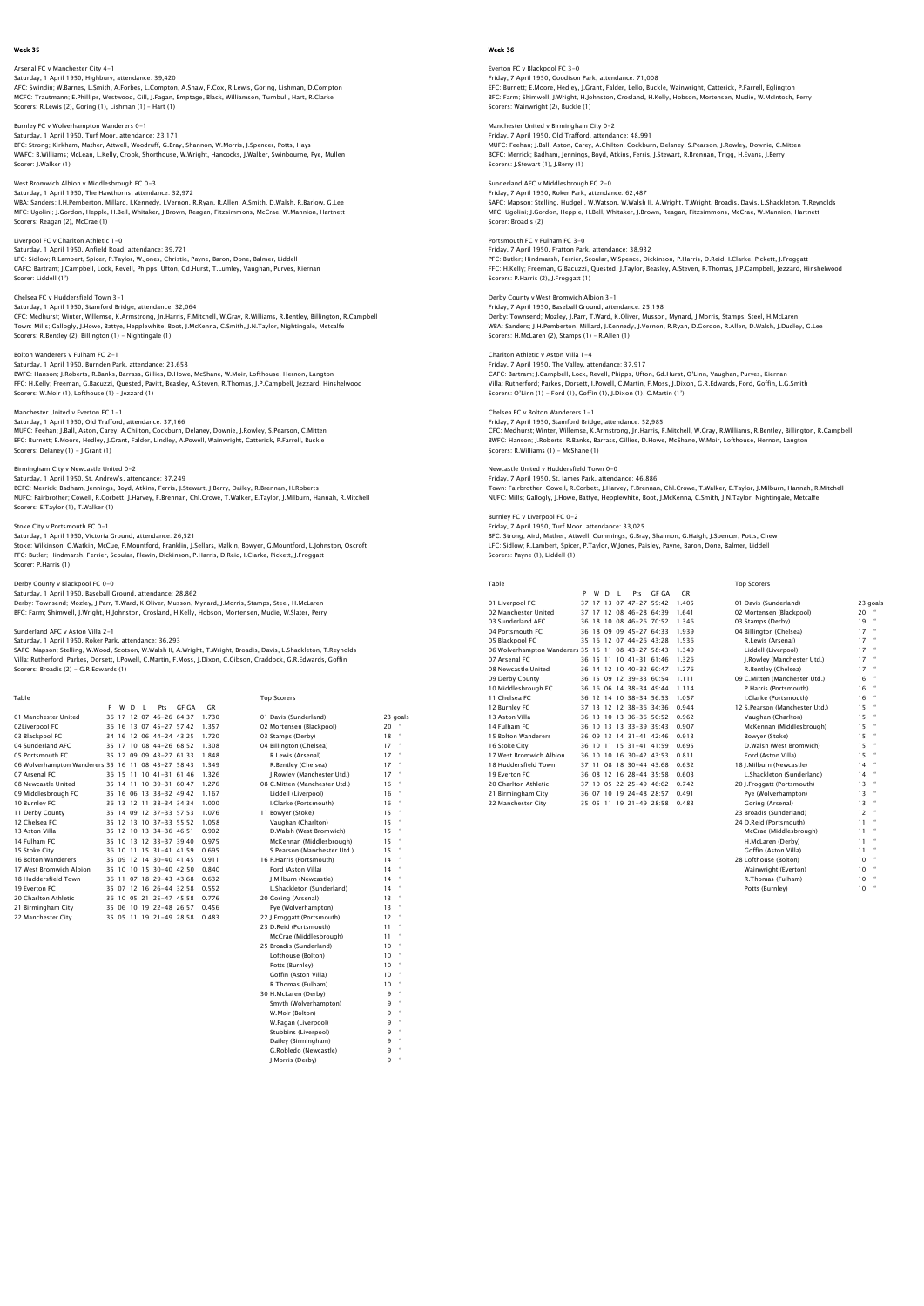Arsenal FC v Manchester City 4–1<br>Saturday, 1 April 1950, Highbury, attendance: 39,420<br>AFC: Swindin; W.Barnes, L.Smith, A.Forbes, L.Compton, A.Shaw, F.Cox, R.Lewis, Goring, Lishman, D.Compton<br>MCFC: Trautmann; E.Phillips, We Scorers: R.Lewis (2), Goring (1), Lishman (1) – Hart (1)

Burnley FC v Wolverhampton Wanderers 0-1 Saturday, 1 April 1950, Turf Moor, attendance: 23,171 BFC: Strong; Kirkham, Mather, Attwell, Woodruff, G.Bray, Shannon, W.Morris, J.Spencer, Potts, Hays WWFC: B.Williams; McLean, L.Kelly, Crook, Shorthouse, W.Wright, Hancocks, J.Walker, Swinbourne, Pye, Mullen Scorer: J.Walker (1)

West Bromwich Albion v Middlesbrough FC 0–3<br>Saturday, 1 April 1950, The Hawthorns, attendance: 32,972<br>WBA: Sanders; J.H.Pemberton, Millard, J.Kennedy, J.Vernon, R.Ryan, R.Allen, A.Smith, D.Walsh, R.Barlow, G.Lee<br>MFC: Uqoli Scorers: Reagan (2), McCrae (1)

Liverpool FC v Charlton Athletic 1-0 Saturday, 1 April 1950, Anfield Road, attendance: 39,721 LFC: Sidlow; R.Lambert, Spicer, P.Taylor, W.Jones, Christie, Payne, Baron, Done, Balmer, Liddell CAFC: Bartram; J.Campbell, Lock, Revell, Phipps, Ufton, Gd.Hurst, T.Lumley, Vaughan, Purves, Kiernan Scorer: Liddell (1')

Chelsea FC v Huddersfield Town 3-1 Saturday, 1 April 1950, Stamford Bridge, attendance: 32,064 CFC: Medhurst; Winter, Willemse, K.Armstrong, Jn.Harris, F.Mitchell, W.Gray, R.Williams, R.Bentley, Billington, R.Campbell Town: Mills; Gallogly, J.Howe, Battye, Hepplewhite, Boot, J.McKenna, C.Smith, J.N.Taylor, Nightingale, Metcalfe Scorers: R.Bentley (2), Billington (1) – Nightingale (1)

## Bolton Wanderers v Fulham FC 2-1

Saturday, 1 April 1950, Burnden Park, attendance: 23,658<br>BWFC: Hanson; J.Roberts, R.Banks, Barrass, Gillies, D.Howe, McShane, W.Moir, Lofthouse, Hernon, Langton<br>FFC: H.Kelly; Freeman, G.Bacuzzi, Quested, Pavitt, Beasley, A

## Manchester United v Everton FC 1-1

Saturday, 1 April 1950, Old Trafford, attendance: 37,166<br>MUFC: Feehan: J.Ball, Aston, Carey, A.Chilton, Cockburn, Delaney, Downie, J.Rowley, S.Pearson, C.Mitten<br>EFC: Burnett: E.Moore, Hedley, J.Grant, Falder, Lindley, A.Po Scorers: Delaney (1) - J.Grant (1)

Birmingham City v Newcastle United 0–2<br>Saturday, 1 April 1950, St. Andrew's, attendance: 37,249<br>BCFC: Merrick: Badham, Jennings, Boyd, Atkins, Ferris, J.Stewart, J.Berry, Dailey, R.Brennan, H.Roberts<br>BCFC: Fairbrother: Cow Scorers: E.Taylor (1), T.Walker (1)

Stoke City v Portsmouth FC 0–1<br>Saturday, 1 April 1950, Victoria Ground, attendance: 26,521<br>Stoke: Wilkinson; C.Watkin, McCue, F.Mountford, Franklin, J.Sellars, Malkin, Bowyer, G.Mountford, L.Johnston, Oscroft<br>PFC: Butler; Scorer: P.Harris (1)

## Derby County v Blackpool FC 0-0

Saturday, 1 April 1950, Baseball Ground, attendance: 28,862 Derby: Townsend; Mozley, J.Parr, T.Ward, K.Oliver, Musson, Mynard, J.Morris, Stamps, Steel, H.McLaren BFC: Farm; Shimwell, J.Wright, H.Johnston, Crosland, H.Kelly, Hobson, Mortensen, Mudie, W.Slater, Perry

Sunderland AFC v Aston Villa 2–1<br>Saturday, 1 April 1950, Roker Park, attendance: 36,293<br>SAFC: Mapson; Stelling, W.Wood, Scotson, W.Walsh II, A.Wright, T.Wright, Broadis, Davis, L.Shackleton, T.Reynolds Villa: Rutherford; Parkes, Dorsett, I.Powell, C.Martin, F.Moss, J.Dixon, C.Gibson, Craddock, G.R.Edwards, Goffin Scorers: Broadis (2) - G.R.Edwards (1)

| Table                                              |   |   |   |    |                         |              |       | <b>Top Scorers</b>            |    |           |
|----------------------------------------------------|---|---|---|----|-------------------------|--------------|-------|-------------------------------|----|-----------|
|                                                    | P | W | D | л. | Pts                     | <b>GF GA</b> | GR    |                               |    |           |
| 01 Manchester United                               |   |   |   |    | 36 17 12 07 46-26 64:37 |              | 1.730 | 01 Davis (Sunderland)         |    | 23 goals  |
| 02Liverpool FC                                     |   |   |   |    | 36 16 13 07 45-27 57:42 |              | 1.357 | 02 Mortensen (Blackpool)      | 20 |           |
| 03 Blackpool FC                                    |   |   |   |    | 34 16 12 06 44-24 43:25 |              | 1.720 | 03 Stamps (Derby)             | 18 | $\bullet$ |
| 04 Sunderland AFC                                  |   |   |   |    | 35 17 10 08 44-26 68:52 |              | 1.308 | 04 Billington (Chelsea)       | 17 | $\bullet$ |
| 05 Portsmouth FC                                   |   |   |   |    | 35 17 09 09 43-27 61:33 |              | 1.848 | R.Lewis (Arsenal)             | 17 |           |
| 06 Wolverhampton Wanderers 35 16 11 08 43-27 58:43 |   |   |   |    |                         |              | 1.349 | R.Bentlev (Chelsea)           | 17 | $\bullet$ |
| 07 Arsenal FC                                      |   |   |   |    | 36 15 11 10 41-31 61:46 |              | 1.326 | I.Rowley (Manchester Utd.)    | 17 |           |
| 08 Newcastle United                                |   |   |   |    | 35 14 11 10 39-31 60:47 |              | 1.276 | 08 C.Mitten (Manchester Utd.) | 16 | $\bullet$ |
| 09 Middlesbrough FC                                |   |   |   |    | 35 16 06 13 38-32 49:42 |              | 1.167 | Liddell (Liverpool)           | 16 | $\bullet$ |
| 10 Burnley FC                                      |   |   |   |    | 36 13 12 11 38-34 34 34 |              | 1.000 | I.Clarke (Portsmouth)         | 16 |           |
| 11 Derby County                                    |   |   |   |    | 35 14 09 12 37-33 57:53 |              | 1.076 | 11 Bowver (Stoke)             | 15 | $\bullet$ |
| 12 Chelsea EC                                      |   |   |   |    | 35 12 13 10 37-33 55:52 |              | 1.058 | Vaughan (Charlton)            | 15 |           |
| 13 Aston Villa                                     |   |   |   |    | 35 12 10 13 34-36 46:51 |              | 0.902 | D.Walsh (West Bromwich)       | 15 | $\bullet$ |
| 14 Fulham FC                                       |   |   |   |    | 35 10 13 12 33-37 39:40 |              | 0.975 | McKennan (Middlesbrough)      | 15 | $\bullet$ |
| 15 Stoke City                                      |   |   |   |    | 36 10 11 15 31-41 41:59 |              | 0.695 | S.Pearson (Manchester Utd.)   | 15 |           |
| 16 Bolton Wanderers                                |   |   |   |    | 35 09 12 14 30-40 41:45 |              | 0.911 | 16 P.Harris (Portsmouth)      | 14 | $\bullet$ |
| 17 West Bromwich Albion                            |   |   |   |    | 35 10 10 15 30-40 42:50 |              | 0.840 | Ford (Aston Villa)            | 14 |           |
| 18 Huddersfield Town                               |   |   |   |    | 36 11 07 18 29-43 43:68 |              | 0.632 | I.Milburn (Newcastle)         | 14 | $\bullet$ |
| 19 Everton EC                                      |   |   |   |    | 35 07 12 16 26-44 32:58 |              | 0.552 | L.Shackleton (Sunderland)     | 14 | $\bullet$ |
| 20 Charlton Athletic                               |   |   |   |    | 36 10 05 21 25-47 45:58 |              | 0.776 | 20 Goring (Arsenal)           | 13 | $\bullet$ |
| 21 Birmingham City                                 |   |   |   |    | 35 06 10 19 22-48 26:57 |              | 0.456 | Pye (Wolverhampton)           | 13 | $\bullet$ |
| 22 Manchester City                                 |   |   |   |    | 35 05 11 19 21-49 28:58 |              | 0.483 | 22 I.Froggatt (Portsmouth)    | 12 |           |
|                                                    |   |   |   |    |                         |              |       | 23 D.Reid (Portsmouth)        | 11 | ×         |
|                                                    |   |   |   |    |                         |              |       | McCrae (Middlesbrough)        | 11 |           |
|                                                    |   |   |   |    |                         |              |       | 25 Broadis (Sunderland)       | 10 | ×         |

| uz mortensen (biackpool)      | zu |   |
|-------------------------------|----|---|
| 03 Stamps (Derby)             | 18 | ٠ |
| 04 Billington (Chelsea)       | 17 | ٠ |
| R.Lewis (Arsenal)             | 17 | ٠ |
| R.Bentley (Chelsea)           | 17 | ٠ |
| J.Rowley (Manchester Utd.)    | 17 | ٠ |
| 08 C.Mitten (Manchester Utd.) | 16 | ٠ |
| Liddell (Liverpool)           | 16 | ٠ |
| I.Clarke (Portsmouth)         | 16 | ٠ |
| 11 Bowver (Stoke)             | 15 | ٠ |
| Vaughan (Charlton)            | 15 | ٠ |
| D.Walsh (West Bromwich)       | 15 |   |
| McKennan (Middlesbrough)      | 15 | ٠ |
| S.Pearson (Manchester Utd.)   | 15 | ٠ |
| 16 P.Harris (Portsmouth)      | 14 | ٠ |
| Ford (Aston Villa)            | 14 | ٠ |
| J.Milburn (Newcastle)         | 14 | ٠ |
| L.Shackleton (Sunderland)     | 14 | ٠ |
| 20 Goring (Arsenal)           | 13 | ٠ |
| Pve (Wolverhampton)           | 13 |   |
| 22 I.Froggatt (Portsmouth)    | 12 | ٠ |
| 23 D.Reid (Portsmouth)        | 11 | ٠ |
| McCrae (Middlesbrough)        | 11 | ٠ |
| 25 Broadis (Sunderland)       | 10 | ٠ |
| Lofthouse (Bolton)            | 10 | ٠ |
| Potts (Burnley)               | 10 | ٠ |
| Goffin (Aston Villa)          | 10 | ٠ |
| R.Thomas (Fulham)             | 10 | ٠ |
| 30 H.McLaren (Derby)          | ۹  | ٠ |
| Smyth (Wolverhampton)         | ۹  | ٠ |
| W.Moir (Bolton)               | 9  | ٠ |
| W.Fagan (Liverpool)           | 9  | ٠ |
| Stubbins (Liverpool)          | 9  | ٠ |
| Dailey (Birmingham)           | ٩  | ă |

G.Robledo (Newcastle) J.Morris (Derby)

### Week 36

Everton FC v Blackpool FC 3–0<br>Friday, 7 April 1950, Goodison Park, attendance: 71,008<br>EFC: Burnett; E.Moore, Hedley, J.Grant, Falder, Lello, Buckle, Wainwright, Catterick, P.Farrell, Eglington BFC: Farm; Shimwell, J.Wright, H.Johnston, Crosland, H.Kelly, Hobson, Mortensen, Mudie, W.McIntosh, Perry Scorers: Wainwright (2), Buckle (1)

Manchester United v Birmingham City 0-2 Friday, 7 April 1950, Old Trafford, attendance: 48,991 MUFC: Feehan; J.Ball, Aston, Carey, A.Chilton, Cockburn, Delaney, S.Pearson, J.Rowley, Downie, C.Mitten BCFC: Merrick; Badham, Jennings, Boyd, Atkins, Ferris, J.Stewart, R.Brennan, Trigg, H.Evans, J.Berry Scorers: J.Stewart (1), J.Berry (1)

Sunderland AFC v Middlesbrough FC 2-0 Friday, 7 April 1950, Roker Park, attendance: 62,487 SAFC: Mapson; Stelling, Hudgell, W.Watson, W.Walsh II, A.Wright, T.Wright, Broadis, Davis, L.Shackleton, T.Reynolds MFC: Ugolini; J.Gordon, Hepple, H.Bell, Whitaker, J.Brown, Reagan, Fitzsimmons, McCrae, W.Mannion, Hartnett Scorer: Broadis (2)

Portsmouth FC v Fulham FC 3-0 Friday, 7 April 1950, Fratton Park, attendance: 38,932 PFC: Butler; Hindmarsh, Ferrier, Scoular, W.Spence, Dickinson, P.Harris, D.Reid, I.Clarke, Pickett, J.Froggatt FFC: H.Kelly; Freeman, G.Bacuzzi, Quested, J.Taylor, Beasley, A.Steven, R.Thomas, J.P.Campbell, Jezzard, Hinshelwood Scorers: P.Harris (2), J.Froggatt (1)

# Derby County v West Bromwich Albion 3-1

Friday, 7 April 1950, Baseball Ground, attendance: 25,198 Derby: Townsend; Mozley, J.Parr, T.Ward, K.Oliver, Musson, Mynard, J.Morris, Stamps, Steel, H.McLaren WBA: Sanders; J.H.Pemberton, Millard, J.Kennedy, J.Vernon, R.Ryan, D.Gordon, R.Allen, D.Walsh, J.Dudley, G.Lee Scorers: H.McLaren (2), Stamps (1) – R.Allen (1)

# Charlton Athletic v Aston Villa 1-4

Friday, 7 April 1950, The Valley, attendance: 37,917<br>CAFC: Bartram: J.Campbell, Lock, Revell, Phipps, Ufton, Gd.Hurst, O'Linn, Vaughan, Purves, Kiernan<br>Villa: Rutherford; Parkes, Dorsett, I.Powell, C.Martin, F.Moss, J.Dixo

## Chelsea FC v Bolton Wanderers 1-1

Friday, 7 April 1950, Stamford Bridge, attendance: 52,985<br>CFC: Medhurst, Winter, Willemse, K.Armstrong, Jn.Harris, F.Mitchell, W.Gray, R.Williams, R.Bentley, Billington, R.Campbell<br>BWFC: Hanson; J.Roberts, R.Banks, Barrass Scorers: R.Williams (1) - McShane (1)

# Newcastle United v Huddersfield Town 0-0

Friday, 7 April 1950, St. James Park, attendance: 46,886<br>Town: Fairbrother; Cowell, R.Corbett, J.Harvey, F.Brennan, Chl.Crowe, T.Walker, E.Taylor, J.Milburn, Hannah, R.Mitchel<br>NUFC: Mills; Galloqiy, J.Howe, Battye, Hepplew

# Burnley FC v Liverpool FC 0-2 Friday, 7 April 1950, Turf Moor, attendance: 33,025<br>BFC: Strong; Aird, Mather, Attwell, Cummings, G.Bray, Shannon, G.Haigh, J.Spencer, Potts, Chew<br>LFC: Sidlow: R.Lambert, Spicer, P.Taylor, W.Jones, Paisley, Payne, Baron, D

Scorers: Payne (1), Liddell (1)

| Table                            |    |          |              |                |                         |       |       | <b>Top Scorers</b>             |          |                      |
|----------------------------------|----|----------|--------------|----------------|-------------------------|-------|-------|--------------------------------|----------|----------------------|
|                                  | P  | W        | <sup>D</sup> | $\blacksquare$ | Pts                     | GE GA | C.R   |                                |          |                      |
| 01 Liverpool FC                  | 37 | 17       |              | 13 07          | $47 - 27$ 59:42         |       | 1.405 | 01 Davis (Sunderland)          | 23 goals |                      |
| 02 Manchester United             | 37 | 17       |              |                | 12 08 46-28 64:39       |       | 1.641 | 02 Mortensen (Blackpool)       | 20       |                      |
| 03 Sunderland AFC                |    |          |              |                | 36 18 10 08 46-26 70:52 |       | 1.346 | 03 Stamps (Derby)              | 19       | $\scriptstyle\alpha$ |
| 04 Portsmouth FC                 |    |          |              |                | 36 18 09 09 45-27 64:33 |       | 1.939 | 04 Billington (Chelsea)        | 17       | $\scriptstyle\alpha$ |
| 05 Blackpool FC                  |    |          |              |                | 35 16 12 07 44-26 43:28 |       | 1.536 | R.Lewis (Arsenal)              | 17       | $\alpha$             |
| 06 Wolverhampton Wanderers 35 16 |    |          | 11           |                | 08 43-27 58:43          |       | 1.349 | Liddell (Liverpool)            | 17       | $\scriptstyle\alpha$ |
| 07 Arsenal FC                    |    | 36 15 11 |              |                | $1041 - 316146$         |       | 1.326 | J.Rowley (Manchester Utd.)     | 17       |                      |
| 08 Newcastle United              |    | 36 14    |              |                | $12$ 10 40-32 60:47     |       | 1.276 | R.Bentley (Chelsea)            | 17       | $\scriptstyle\alpha$ |
| 09 Derby County                  |    |          |              |                | 36 15 09 12 39-33 60:54 |       | 1.111 | 09 C.Mitten (Manchester Utd.)  | 16       |                      |
| 10 Middlesbrough FC              |    |          |              |                | 36 16 06 14 38-34 49:44 |       | 1.114 | P.Harris (Portsmouth)          | 16       | $\scriptstyle\alpha$ |
| 11 Chelsea EC                    |    |          |              |                | 36 12 14 10 38-34 56:53 |       | 1.057 | I.Clarke (Portsmouth)          | 16       | $\scriptstyle\alpha$ |
| 12 Burnley FC                    |    |          |              |                | 37 13 12 12 38-36 34:36 |       | 0.944 | 12 S.Pearson (Manchester Utd.) | 15       |                      |
| 13 Aston Villa                   |    | 36 13    |              |                | 10 13 36-36 50:52       |       | 0.962 | Vaughan (Charlton)             | 15       | $\scriptstyle\alpha$ |
| 14 Fulham FC                     |    | 36 10    |              |                | 13 13 33-39 39:43       |       | 0.907 | McKennan (Middlesbrough)       | 15       |                      |
| 15 Bolton Wanderers              | 36 | 09       | 13           |                | $14$ 31-41 42:46        |       | 0.913 | Bowyer (Stoke)                 | 15       | $\scriptstyle\alpha$ |
| 16 Stoke City                    |    | 36 10    | 11           |                | $15$ 31-41 41.59        |       | 0.695 | D.Walsh (West Bromwich)        | 15       | $\scriptstyle\alpha$ |
| 17 West Bromwich Albion          |    |          |              |                | 36 10 10 16 30-42 43:53 |       | 0.811 | Ford (Aston Villa)             | 15       | $\scriptstyle\alpha$ |
| 18 Huddersfield Town             |    | 37 11    |              |                | 08 18 30-44 43:68       |       | 0.632 | 18 I.Milburn (Newcastle)       | 14       | $\scriptstyle\alpha$ |
| 19 Everton EC                    |    |          |              |                | 36 08 12 16 28-44 35:58 |       | 0.603 | L.Shackleton (Sunderland)      | 14       |                      |
| 20 Charlton Athletic             |    | 37 10    |              |                | 05 22 25-49 46:62       |       | 0.742 | 20 J.Froggatt (Portsmouth)     | 13       | $\scriptstyle\alpha$ |
| 21 Birmingham City               |    |          |              |                | 36 07 10 19 24-48 28:57 |       | 0.491 | Pye (Wolverhampton)            | 13       |                      |
| 22 Manchester City               |    | 35 05 11 |              |                | 19 21-49 28:58          |       | 0.483 | Goring (Arsenal)               | 13       |                      |
|                                  |    |          |              |                |                         |       |       |                                |          |                      |

| 01 Davis (Sunderland)          |    | 23 ao;   |
|--------------------------------|----|----------|
| 02 Mortensen (Blackpool)       | 20 |          |
| 03 Stamps (Derby)              | 19 | $\alpha$ |
| 04 Billington (Chelsea)        | 17 | $\alpha$ |
| R.Lewis (Arsenal)              | 17 | $\alpha$ |
| Liddell (Liverpool)            | 17 | $\alpha$ |
| I.Rowley (Manchester Utd.)     | 17 | $\alpha$ |
| R.Bentley (Chelsea)            | 17 | $\alpha$ |
| 09 C.Mitten (Manchester Utd.)  | 16 | $\alpha$ |
| P.Harris (Portsmouth)          | 16 | ×        |
| I.Clarke (Portsmouth)          | 16 | $\alpha$ |
| 12 S.Pearson (Manchester Utd.) | 15 | $\alpha$ |
| Vaughan (Charlton)             | 15 | $\alpha$ |
| McKennan (Middlesbrough)       | 15 | $\alpha$ |
| Bowver (Stoke)                 | 15 | $\alpha$ |
| D.Walsh (West Bromwich)        | 15 | $\alpha$ |
| Ford (Aston Villa)             | 15 | $\alpha$ |
| 18 I.Milburn (Newcastle)       | 14 | $\alpha$ |
| L.Shackleton (Sunderland)      | 14 | $\alpha$ |
| 20 J.Froggatt (Portsmouth)     | 13 | $\alpha$ |
| Pve (Wolverhampton)            | 13 | $\alpha$ |
| Goring (Arsenal)               | 13 | $\alpha$ |
| 23 Broadis (Sunderland)        | 12 | $\alpha$ |
| 24 D.Reid (Portsmouth)         | 11 | $\alpha$ |
| McCrae (Middlesbrough)         | 11 | $\alpha$ |
| H.McLaren (Derby)              | 11 | $\alpha$ |
| Goffin (Aston Villa)           | 11 | $\alpha$ |
| 28 Lofthouse (Bolton)          | 10 | $\alpha$ |
| Wainwright (Everton)           | 10 | $\alpha$ |
| R.Thomas (Fulham)              | 10 | $\alpha$ |
| Potts (Burnley)                | 10 | $\alpha$ |

Top Scorers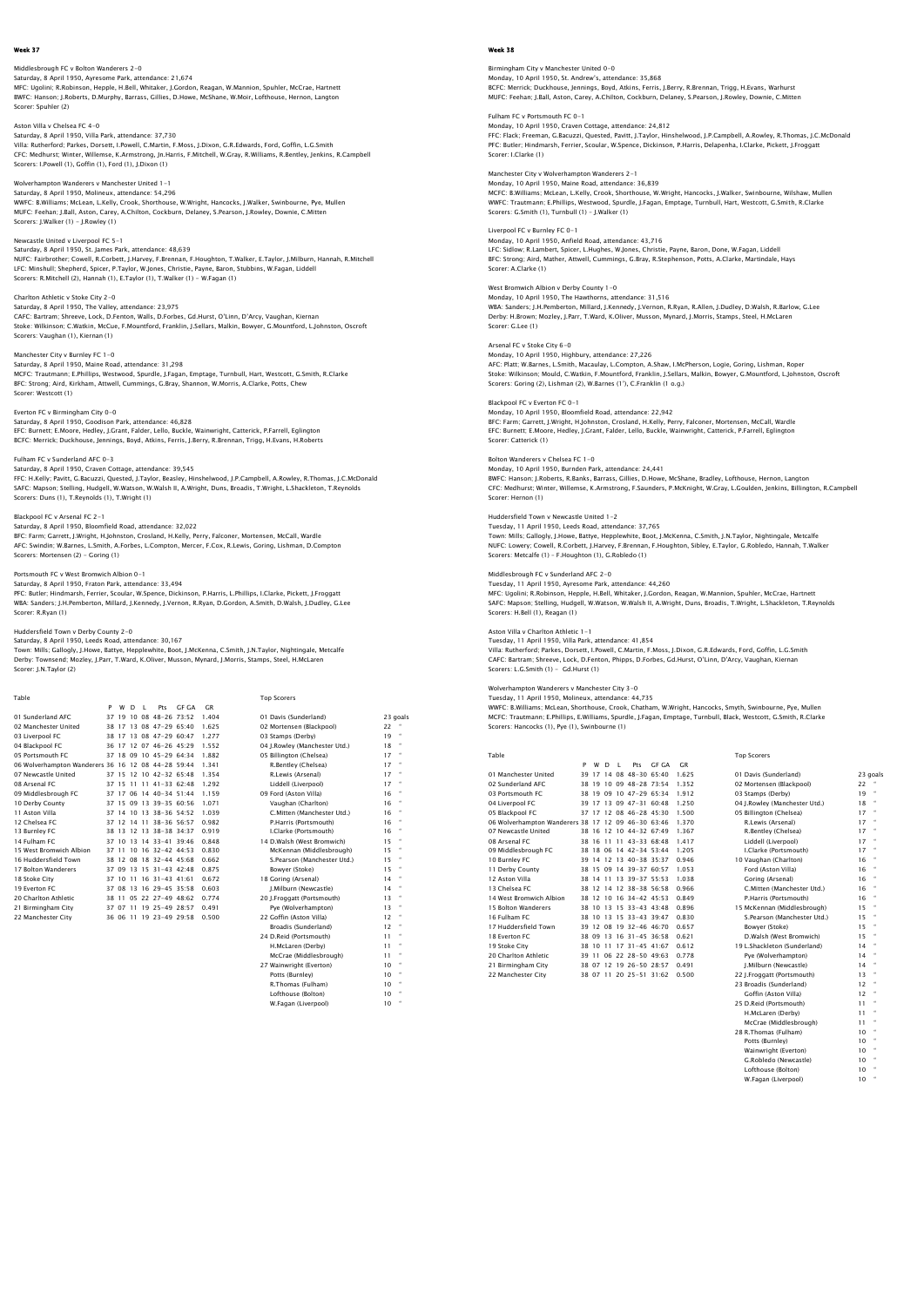Middlesbrough FC v Bolton Wanderers 2–0<br>Saturday, 8 April 1950, Ayresome Park, attendance: 21,674<br>MFC: Ugolnir, R.Robinson, Hepple, H.Bell, Whitaker, J.Cordon, Reagan, W.Mannion, Spuhler, McCrae, Hartnett<br>BWFC: Hanson; J.R Scorer: Spuhler (2)

Aston Villa v Chelsea FC 4-0

Saturday, 8 April 1950, Villa Park, attendance: 37,730 Villa: Rutherford; Parkes, Dorsett, I.Powell, C.Martin, F.Moss, J.Dixon, G.R.Edwards, Ford, Goffin, L.G.Smith<br>CFC: Medhurst; Winter, Willemse, K.Armstrong, Jn.Harris, F.Mitchell, W.Gray, R.Williams, R.Bentley, Jenkins, R.C Scorers: I.Powell (1), Goffin (1), Ford (1), J.Dixon (1)

Wolverhampton Wanderers v Manchester United 1-1 Saturday, 8 April 1950, Molineux, attendance: 54,296 WWFC: B.Williams; McLean, L.Kelly, Crook, Shorthouse, W.Wright, Hancocks, J.Walker, Swinbourne, Pye, Mullen MUFC: Feehan; J.Ball, Aston, Carey, A.Chilton, Cockburn, Delaney, S.Pearson, J.Rowley, Downie, C.Mitten Scorers: J.Walker (1) - J.Rowley (1)

Newcastle United v Liverpool FC 5-1 Saturday, 8 April 1950, St. James Park, attendance: 48,639 NUFC: Fairbrother; Cowell, R.Corbett, J.Harvey, F.Brennan, F.Houghton, T.Walker, E.Taylor, J.Milburn, Hannah, R.Mitchell LFC: Minshull; Shepherd, Spicer, P.Taylor, W.Jones, Christie, Payne, Baron, Stubbins, W.Fagan, Liddell Scorers: R.Mitchell (2), Hannah (1), E.Taylor (1), T.Walker (1) - W.Fagan (1)

Charlton Athletic v Stoke City 2-0 Saturday, 8 April 1950, The Valley, attendance: 23,975<br>CAFC: Bartram: Shreeve. Lock. D.Fenton. Walls. D.Forbes. Gd.Hurst. O'Linn. D'Arcv. Vaughan. Kiernan CAFC: Bartram; Shreeve, Lock, D.Fenton, Walls, D.Forbes, Gd.Hurst, O'Linn, D'Arcy, Vaughan, Kiernan<br>Stoke: Wilkinson; C.Watkin, McCue, F.Mountford, Franklin, J.Sellars, Malkin, Bowyer, G.Mountford, L.Johnston, Oscroft<br>Scor

# Manchester City v Burnley FC 1-0

Saturday, 8 April 1950, Maine Road, attendance: 31,298<br>MCFC: Trautmann; E.Phillips, Westwood, Spurdle, J.Fagan, Emptage, Turnbull, Hart, Westcott, G.Smith, R.Clarke<br>BFC: Stronq: Aird, Kirkham, Attwell, Cummings, G.Bray, Sh Scorer: Westcott (1)

### Everton FC v Birmingham City 0-0

Saturday, 8 April 1950, Goodison Park, attendance: 46,828<br>EFC: Burnett; E.Moore, Hedley, J.Grant, Falder, Lello, Buckle, Wainwright, Catterick, P.Farrell, Eglington<br>BCFC: Merrick: Duckhouse, Jennings, Boyd, Atkins, Ferris,

Fulham FC v Sunderland AFC 0-3 Saturday, 8 April 1950, Craven Cottage, attendance: 39,545<br>FFC: H.Kelly; Pavitt, G.Bacuzzi, Quested, J.Taylor, Beasley, Hinshelwood, J.P.Campbell, A.Rowley, R.Thomas, J.C.McDonald<br>SAFC: Mapson; Stelling, Hudgell, W.Watson,

Scorers: Duns (1), T.Reynolds (1), T.Wright (1) Blackpool FC v Arsenal FC 2-1

Saturday, 8 April 1950, Bloomfield Road, attendance: 32,022<br>BFC: Farm; Garrett, J.Wright, H.Johnston, Crosland, H.Kelly, Perry, Falconer, Mortensen, McCall, Wardle<br>AFC: Swindin; W.Barnes, L.Smith, A.Forbes, L.Compton, Merc Scorers: Mortensen (2) - Goring (1)

# Portsmouth FC v West Bromwich Albion 0-1

Saturday, 8 April 1950, Fraton Park, attendance: 33,494<br>PFC: Butler; Hindmarsh, Ferrier, Scoular, W.Spence, Dickinson, P.Harris, L.Phillips, I.Clarke, Pickett, J.Froggatt<br>WBA: Sanders: J.H.Pemberton, Millard, J.Kennedy, J. Scorer: R.Ryan (1)

Huddersfield Town v Derby County 2–0<br>Saturday, 8 April 1950, Leeds Road, attendance: 30,167<br>Town: Mills; Gallogly, J.Howe, Battye, Hepplewhite, Boot, J.McKenna, C.Smith, J.N.Taylor, Nightingale, Metcalfe Derby: Townsend; Mozley, J.Parr, T.Ward, K.Oliver, Musson, Mynard, J.Morris, Stamps, Steel, H.McLaren Scorer: J.N.Taylor (2)

Table Top Scorers

|                                                    | P  | W        | D | п. | Pt s                    | GE GA | GR    |                               |          |              |
|----------------------------------------------------|----|----------|---|----|-------------------------|-------|-------|-------------------------------|----------|--------------|
| 01 Sunderland AFC                                  | 37 | 19       |   |    | $10.08$ 48-26 73:52     |       | 1.404 | 01 Davis (Sunderland)         | 23 goals |              |
| 02 Manchester United                               |    |          |   |    | 38 17 13 08 47-29 65:40 |       | 1.625 | 02 Mortensen (Blackpool)      | 22       |              |
| 03 Liverpool FC                                    |    |          |   |    | 38 17 13 08 47-29 60:47 |       | 1.277 | 03 Stamps (Derby)             | 19       | $\bullet$    |
| 04 Blackpool FC                                    |    |          |   |    | 36 17 12 07 46-26 45:29 |       | 1.552 | 04 I.Rowlev (Manchester Utd.) | 18       |              |
| 05 Portsmouth EC                                   |    |          |   |    | 37 18 09 10 45-29 64:34 |       | 1.882 | 05 Billington (Chelsea)       | 17       | $\bullet$    |
| 06 Wolverhampton Wanderers 36 16 12 08 44-28 59:44 |    |          |   |    |                         |       | 1.341 | R.Bentlev (Chelsea)           | 17       |              |
| 07 Newcastle United                                |    |          |   |    | 37 15 12 10 42-32 65:48 |       | 1.354 | R.Lewis (Arsenal)             | 17       |              |
| 08 Arsenal FC                                      |    |          |   |    | 37 15 11 11 41-33 62:48 |       | 1.292 | Liddell (Liverpool)           | 17       |              |
| 09 Middlesbrough FC                                |    |          |   |    | 37 17 06 14 40-34 51:44 |       | 1.159 | 09 Ford (Aston Villa)         | 16       |              |
| 10 Derby County                                    |    |          |   |    | 37 15 09 13 39-35 60:56 |       | 1.071 | Vaughan (Charlton)            | 16       | $\bullet$    |
| 11 Aston Villa                                     |    |          |   |    | 37 14 10 13 38-36 54.52 |       | 1.039 | C.Mitten (Manchester Utd.)    | 16       |              |
| 12 Chelsea EC                                      |    |          |   |    | 37 12 14 11 38-36 56:57 |       | 0.982 | P.Harris (Portsmouth)         | 16       | $\bullet$    |
| 13 Burnley FC                                      |    |          |   |    | 38 13 12 13 38-38 34:37 |       | 0.919 | I.Clarke (Portsmouth)         | 16       | $\bullet$    |
| 14 Fulham FC                                       |    |          |   |    | 37 10 13 14 33-41 39:46 |       | 0.848 | 14 D.Walsh (West Bromwich)    | 15       | $\bullet$    |
| 15 West Bromwich Albion                            |    |          |   |    | 37 11 10 16 32-42 44:53 |       | 0.830 | McKennan (Middlesbrough)      | 15       | $\bullet$    |
| 16 Huddersfield Town                               |    |          |   |    | 38 12 08 18 32-44 45:68 |       | 0.662 | S.Pearson (Manchester Utd.)   | 15       | $\bullet$    |
| 17 Bolton Wanderers                                |    |          |   |    | 37 09 13 15 31-43 42:48 |       | 0.875 | Bowver (Stoke)                | 15       |              |
| 18 Stoke City                                      |    | 37 10 11 |   |    | $16.31 - 43.41.61$      |       | 0.672 | 18 Goring (Arsenal)           | 14       | $\bullet$    |
| 19 Everton EC                                      |    |          |   |    | 37 08 13 16 29-45 35:58 |       | 0.603 | I.Milburn (Newcastle)         | 14       |              |
| 20 Charlton Athletic                               |    | 38 11    |   |    | 05 22 27-49 48:62       |       | 0.774 | 20 I.Froggatt (Portsmouth)    | 13       | $\bullet$    |
| 21 Birmingham City                                 |    | 37 07 11 |   |    | 19 25-49 28:57          |       | 0.491 | Pve (Wolverhampton)           | 13       |              |
| 22 Manchester City                                 |    |          |   |    | 36 06 11 19 23-49 29:58 |       | 0.500 | 22 Goffin (Aston Villa)       | 12       | $\bullet$    |
|                                                    |    |          |   |    |                         |       |       | Broadis (Sunderland)          | 12       |              |
|                                                    |    |          |   |    |                         |       |       | 24 D.Reid (Portsmouth)        | 11       | $\mathbf{H}$ |
|                                                    |    |          |   |    |                         |       |       |                               |          |              |

H.McLaren (Derby) 11<br>McCrae (Middlesbrough) 11<br>Wainwright (Everton) 10 McCrae (Middlesbrough) 27 Wainwright (Everton)<br>
27 Wainwright (Everton)<br>
27 Wainwright (Everton)<br>
210 "
210 "
22 Thomas (Fulham) Potts (Burnley) 10 " R.Thomas (Fulham) 10 " Lofthouse (Bolton) 10 W.Fagan (Liverpool) 10

### Week 38

Birmingham City v Manchester United 0-0 Monday, 10 April 1950, St. Andrew's, attendance: 35,868 BCFC: Merrick; Duckhouse, Jennings, Boyd, Atkins, Ferris, J.Berry, R.Brennan, Trigg, H.Evans, Warhurst MUFC: Feehan; J.Ball, Aston, Carey, A.Chilton, Cockburn, Delaney, S.Pearson, J.Rowley, Downie, C.Mitten

Fulham FC v Portsmouth FC 0-1 Monday, 10 April 1950, Craven Cottage, attendance: 24,812 FFC: Flack; Freeman, G.Bacuzzi, Quested, Pavitt, J.Taylor, Hinshelwood, J.P.Campbell, A.Rowley, R.Thomas, J.C.McDonalc<br>PFC: Butler; Hindmarsh, Ferrier, Scoular, W.Spence, Dickinson, P.Harris, Delapenha, I.Clarke, Pickett, Scorer: I.Clarke (1)

Manchester City v Wolverhampton Wanderers 2-1

Monday, 10 April 1950, Maine Road, attendance: 36,839 MCFC: B.Williams; McLean, L.Kelly, Crook, Shorthouse, W.Wright, Hancocks, J.Walker, Swinbourne, Wilshaw, Mullen WWFC: Trautmann; E.Phillips, Westwood, Spurdle, J.Fagan, Emptage, Turnbull, Hart, Westcott, G.Smith, R.Clarke Scorers: G.Smith (1), Turnbull (1) – J.Walker (1)

Liverpool FC v Burnley FC 0-1

Monday, 10 April 1950, Anfield Road, attendance: 43,716 LFC: Sidlow; R.Lambert, Spicer, L.Hughes, W.Jones, Christie, Payne, Baron, Done, W.Fagan, Liddell BFC: Strong; Aird, Mather, Attwell, Cummings, G.Bray, R.Stephenson, Potts, A.Clarke, Martindale, Hays Scorer: A.Clarke (1)

West Bromwich Albion v Derby County 1–0<br>Monday 10 April 1950, The Hawthorns, attendance: 31,516<br>WBA: Sanders; J.H.Pemberton, Millard, J.Kennedy, J.Vernon, R.Ryan, R.Allen, J.Dudley, D.Walsh, R.Barlow, G.Lee<br>Derby: H.Brown: Scorer: G.Lee (1)

## Arsenal FC v Stoke City 6-0

Monday, 10 April 1950, Highbury, attendance: 27,226 AFC: Platt; W.Barnes, L.Smith, Macaulay, L.Compton, A.Shaw, I.McPherson, Logie, Goring, Lishman, Roper<br>Stoke: Wilkinson; Mould, C.Watkin, F.Mountford, Franklin, J.Sellars, Malkin, Bowyer, G.Mountford, L.Johnston, Oscrofi<br>S

## Blackpool FC v Everton FC 0-1

Monday, 10 April 1950, Bloomfield Road, attendance: 22,942 BFC: Farm; Garrett, J.Wright, H.Johnston, Crosland, H.Kelly, Perry, Falconer, Mortensen, McCall, Wardle EFC: Burnett; E.Moore, Hedley, J.Grant, Falder, Lello, Buckle, Wainwright, Catterick, P.Farrell, Eglington Scorer: Catterick (1)

## Bolton Wanderers v Chelsea FC 1-0

Monday, 10 April 1950, Burnden Park, attendance: 24,441<br>BWFC: Hanson; J.Roberts, R.Banks, Barrass, Gillies, D.Howe, McShane, Bradley, Lofthouse, Hernon, Langton<br>CFC: Medhurst; Winter, Willemse, K.Armstronq, F.Saunders, P.M Scorer: Hernon (1)

Huddersfield Town v Newcastle United 1–2<br>Tuesday, 11 April 1950, Leeds Road, attendance: 37,765<br>Town: Mills; Gallogly, J.Howe, Battye, Hepplewhite, Boot, J.McKenna, C.Smith, J.N.Taylor, Nightingale, Metcalfe<br>NUFC: Lowery:

Middlesbrough FC v Sunderland AFC 2–0<br>Tuesday, 11 April 1950, Ayresome Park, attendance: 44,260<br>MFC: Ugolini; R.Robinson, Hepple, H.Bell, Whitaker, J.Cordon, Reagan, W.Mannion, Spuhler, McCrae, Hartnett<br>SAFC: Mapson; Stell Scorers: H.Bell (1), Reagan (1)

Aston Villa v Charlton Athletic 1–1<br>Tuesday, 11 April 1950, Villa Park, attendance: 41,854<br>Villa: Rutherford; Parkes, Dorsett, I.Powell, C.Martin, F.Moss, J.Dixon, G.R.Edwards, Ford, Goffin, L.G.Smith CAFC: Bartram; Shreeve, Lock, D.Fenton, Phipps, D.Forbes, Gd.Hurst, O'Linn, D'Arcy, Vaughan, Kiernan Scorers: L.G.Smith (1) - Gd.Hurst (1)

## Wolverhampton Wanderers v Manchester City 3-0

Tuesday, 11 April 1950, Molineux, attendance: 44,735 WWFC: B.Williams; McLean, Shorthouse, Crook, Chatham, W.Wright, Hancocks, Smyth, Swinbourne, Pye, Mullen MCFC: Trautmann; E.Phillips, E.Williams, Spurdle, J.Fagan, Emptage, Turnbull, Black, Westcott, G.Smith, R.Clarke Scorers: Hancocks (1), Pye (1), Swinbourne (1)

| Table                            |    |       |       |                |                             |       |       | <b>Top Scorers</b>                                         |
|----------------------------------|----|-------|-------|----------------|-----------------------------|-------|-------|------------------------------------------------------------|
|                                  | P  | w     | D.    | $\blacksquare$ | Pts                         | GE GA | C.R   |                                                            |
| 01 Manchester United             | 39 |       |       |                | 17 14 08 48-30 65:40        |       | 1.625 | 01 Davis (Sunderland)<br>23 goals                          |
| 02 Sunderland AFC                |    |       |       |                | 38 19 10 09 48-28 73:54     |       | 1.352 | 22<br>02 Mortensen (Blackpool)                             |
| 03 Portsmouth FC                 |    |       |       |                | 38 19 09 10 47-29 65:34     |       | 1.912 | $\scriptstyle\alpha$<br>03 Stamps (Derby)<br>19            |
| 04 Liverpool FC                  |    |       |       |                | 39 17 13 09 47-31 60:48     |       | 1.250 | 18<br>04 J.Rowley (Manchester Utd.)                        |
| 05 Blackpool FC                  | 37 |       | 17 12 |                | $0846 - 284530$             |       | 1.500 | 17<br>$\scriptstyle\alpha$<br>05 Billington (Chelsea)      |
| 06 Wolverhampton Wanderers 38 17 |    |       | 12    |                | $0946 - 306346$             |       | 1.370 | 17<br>R.Lewis (Arsenal)                                    |
| 07 Newcastle United              |    | 38 16 |       |                | $12$ 10 44-32 67:49         |       | 1.367 | $\scriptstyle\alpha$<br>17<br>R.Bentley (Chelsea)          |
| 08 Arsenal FC                    |    | 38 16 |       |                | $11$ 11 43-33 68:48         |       | 1.417 | 17<br>$\alpha$<br>Liddell (Liverpool)                      |
| 09 Middlesbrough FC              |    |       |       |                | 38 18 06 14 42-34 53:44     |       | 1.205 | 17<br>$\alpha$<br>I.Clarke (Portsmouth)                    |
| 10 Burnley FC                    |    |       |       |                | 39 14 12 13 40-38 35:37     |       | 0.946 | 16<br>٠<br>10 Vaughan (Charlton)                           |
| 11 Derby County                  |    |       |       |                | 38 15 09 14 39-37 60:57     |       | 1.053 | 16<br>Ford (Aston Villa)                                   |
| 12 Aston Villa                   |    |       |       |                | 38 14 11 13 39-37 55:53     |       | 1.038 | 16<br>Goring (Arsenal)                                     |
| 13 Chelsea EC                    |    |       |       |                | 38 12 14 12 38-38 56:58     |       | 0.966 | C.Mitten (Manchester Utd.)<br>16                           |
| 14 West Bromwich Albion          |    | 38 12 |       |                | 10 16 34-42 45:53           |       | 0.849 | 16<br>٠<br>P.Harris (Portsmouth)                           |
| 15 Bolton Wanderers              | 38 | 10    |       |                | 13 15 33-43 43:48           |       | 0.896 | 15<br>15 McKennan (Middlesbrough)                          |
| 16 Fulham FC                     | 38 | 10    |       |                | 13 15 33-43 39:47           |       | 0.830 | 15<br>$\scriptstyle\alpha$<br>S.Pearson (Manchester Utd.)  |
| 17 Huddersfield Town             | 39 |       |       |                | 12 08 19 32-46 46:70        |       | 0.657 | 15<br>$\scriptstyle\alpha$<br>Bowver (Stoke)               |
| 18 Everton FC                    |    |       |       |                | 38 09 13 16 31-45 36:58     |       | 0.621 | 15<br>$\scriptstyle\alpha$<br>D.Walsh (West Bromwich)      |
| 19 Stoke City                    |    | 38 10 |       |                | $11$ $17$ $31 - 45$ $41.67$ |       | 0.612 | 14<br>$\scriptstyle\alpha$<br>19 L.Shackleton (Sunderland) |
| 20 Charlton Athletic             | 39 | 11    |       |                | 06 22 28-50 49:63           |       | 0.778 | Pve (Wolverhampton)<br>14                                  |
| 21 Birmingham City               |    |       |       |                | 38 07 12 19 26-50 28:57     |       | 0.491 | $\mathbf{a}$<br>I.Milburn (Newcastle)<br>14                |
| 22 Manchester City               |    |       |       |                | 38 07 11 20 25-51 31:62     |       | 0.500 | 13<br>22 J.Froggatt (Portsmouth)                           |

| 01 Davis (Sunderland)         |    | 23 qoa   |
|-------------------------------|----|----------|
| 02 Mortensen (Blackpool)      | 22 |          |
| 03 Stamps (Derby)             | 19 |          |
| 04 J.Rowley (Manchester Utd.) | 18 | $\alpha$ |
| 05 Billington (Chelsea)       | 17 | $\alpha$ |
| R.Lewis (Arsenal)             | 17 |          |
| R.Bentley (Chelsea)           | 17 |          |
| Liddell (Liverpool)           | 17 | $\alpha$ |
| I.Clarke (Portsmouth)         | 17 | $\alpha$ |
| 10 Vaughan (Charlton)         | 16 |          |
| Ford (Aston Villa)            | 16 | ٠        |
| Goring (Arsenal)              | 16 | ٠        |
| C.Mitten (Manchester Utd.)    | 16 | ٠        |
| P.Harris (Portsmouth)         | 16 |          |
| 15 McKennan (Middlesbrough)   | 15 | ٠        |
| S.Pearson (Manchester Utd.)   | 15 | ٠        |
| Bowver (Stoke)                | 15 | ٠        |
| D.Walsh (West Bromwich)       | 15 | ٠        |
| 19 L.Shackleton (Sunderland)  | 14 |          |
| Pve (Wolverhampton)           | 14 | $\alpha$ |
| I.Milburn (Newcastle)         | 14 |          |
| 22 J.Froggatt (Portsmouth)    | 13 | ٠        |
| 23 Broadis (Sunderland)       | 12 |          |
| Goffin (Aston Villa)          | 12 |          |
| 25 D.Reid (Portsmouth)        | 11 |          |
| H.McLaren (Derby)             | 11 |          |
| McCrae (Middlesbrough)        | 11 |          |
| 28 R.Thomas (Fulham)          | 10 |          |
| Potts (Burnley)               | 10 | $\alpha$ |
| Wainwright (Everton)          | 10 |          |
| G.Robledo (Newcastle)         | 10 |          |
| Lofthouse (Bolton)            | 10 |          |
| W.Fagan (Liverpool)           | 10 | $\alpha$ |
|                               |    |          |

| 17     | $\alpha$             |
|--------|----------------------|
| 17     | $\sim$               |
| 17     | $\scriptstyle\alpha$ |
| 16     | $\sim$               |
| 16     | $\sim$               |
| 16     | $\sim$               |
| 16     | $\sim$               |
| 16     | $\sim$               |
| 15     | $\sim$               |
| 15     | $\sim$               |
| 15     | $\sim$               |
| 15     | $\sim$               |
| 14     | $\sim$               |
| 14     | $\sim$               |
| 14     | $\sim$               |
| 13     | $\sim$               |
| 12     | $\sim$               |
| 12     | $\sim$               |
| 11     | $\sim$               |
| 11     | $\sim$               |
| 11     | $\alpha$             |
| 10     | $\sim$               |
| $\sim$ | $\sim$               |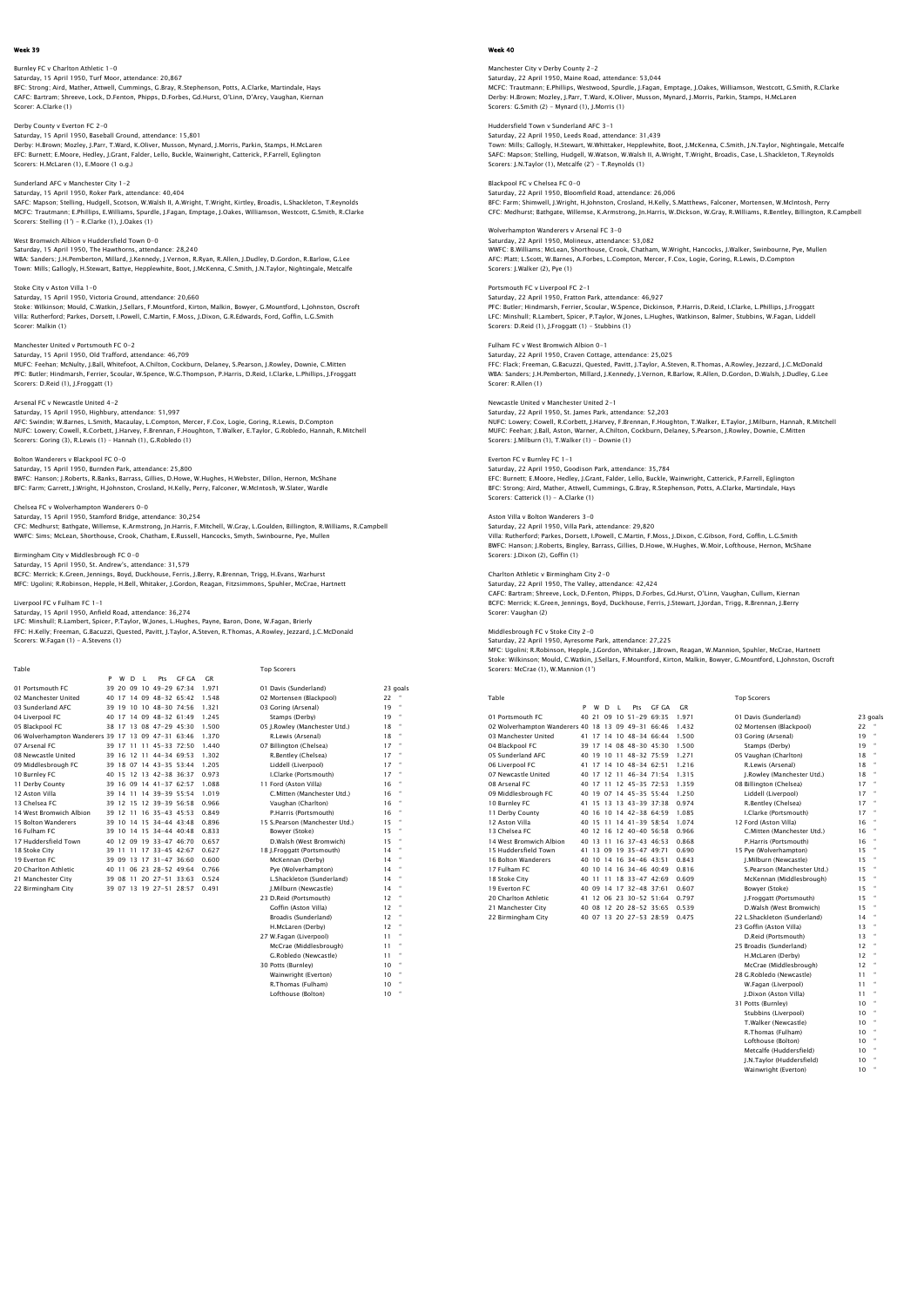### Burnley FC v Charlton Athletic 1-0 Saturday, 15 April 1950, Turf Moor, attendance: 20,867 BFC: Strong; Aird, Mather, Attwell, Cummings, G.Bray, R.Stephenson, Potts, A.Clarke, Martindale, Hays CAFC: Bartram; Shreeve, Lock, D.Fenton, Phipps, D.Forbes, Gd.Hurst, O'Linn, D'Arcy, Vaughan, Kiernan Scorer: A.Clarke (1)

Derby County v Everton FC 2-0 Saturday, 15 April 1950, Baseball Ground, attendance: 15,801 Derby: H.Brown; Mozley, J.Parr, T.Ward, K.Oliver, Musson, Mynard, J.Morris, Parkin, Stamps, H.McLaren EFC: Burnett; E.Moore, Hedley, J.Grant, Falder, Lello, Buckle, Wainwright, Catterick, P.Farrell, Eglington Scorers: H.McLaren (1), E.Moore (1 o.g.)

Sunderland AFC v Manchester City 1-2 Saturday, 15 April 1950, Roker Park, attendance: 40,404 SAFC: Mapson; Stelling, Hudgell, Scotson, W.Walsh II, A.Wright, T.Wright, Kirtley, Broadis, L.Shackleton, T.Reynolds MCFC: Trautmann; E.Phillips, E.Williams, Spurdle, J.Fagan, Emptage, J.Oakes, Williamson, Westcott, G.Smith, R.Clarke Scorers: Stelling (1') - R.Clarke (1), J.Oakes (1)

West Bromwich Albion v Huddersfield Town 0-0 Saturday, 15 April 1950, The Hawthorns, attendance: 28,240 WBA: Sanders; J.H.Pemberton, Millard, J.Kennedy, J.Vernon, R.Ryan, R.Allen, J.Dudley, D.Gordon, R.Barlow, G.Lee Town: Mills; Gallogly, H.Stewart, Battye, Hepplewhite, Boot, J.McKenna, C.Smith, J.N.Taylor, Nightingale, Metcalfe

Stoke City v Aston Villa 1-0 Saturday, 15 April 1950, Victoria Ground, attendance: 20,660 Stoke: Wilkinson; Mould, C.Watkin, J.Sellars, F.Mountford, Kirton, Malkin, Bowyer, G.Mountford, L.Johnston, Oscroft<br>Villa: Rutherford; Parkes, Dorsett, I.Powell, C.Martin, F.Moss, J.Dixon, G.R.Edwards, Ford, Goffin, L.G.Sm Scorer: Malkin (1)

Manchester United v Portsmouth FC 0-2 Saturday, 15 April 1950, Old Trafford, attendance: 46,709 MUFC: Feehan; McNulty, J.Ball, Whitefoot, A.Chilton, Cockburn, Delaney, S.Pearson, J.Rowley, Downie, C.Mitten<br>PFC: Butler; Hindmarsh, Ferrier, Scoular, W.Spence, W.G.Thompson, P.Harris, D.Reid, I.Clarke, L.Phillips, J.Frog

### Arsenal FC v Newcastle United 4-2

Saturday, 15 April 1950, Highbury, attendance: 51,997<br>AFC: Swindin; W.Barnes, L.Smith, Macaulay, L.Compton, Mercer, F.Cox, Logie, Goring, R.Lewis, D.Compton<br>NUFC: Lowery; Cowell, R.Corbett, J.Harvey, F.Brennan, F.Houghton,

Bolton Wanderers v Blackpool FC 0-0<br>Saturday, 15 April 1950, Burnden Park, attendance: 25,800<br>BWFC: Hanson; J.Roberts, R.Banks, Barrass, Gillies, D.Howe, W.Hughes, H.Webster, Dillon, Hernon, McShane<br>BFC: Farm; Garrett, J.W

Chelsea FC v Wolverhampton Wanderers 0-0 Saturday, 15 April 1950, Stamford Bridge, attendance: 30,254<br>CFC: Medhurst; Bathgate, Willemse, K.Armstrong, Jn.Harris, F.Mitchell, W.Gray, L.Goulden, Billington, R.Williams, R.Campbell<br>WWFC: Sims; McLean, Shorthouse, Croo

Birmingham City v Middlesbrough FC 0-0

Saturday, 15 April 1950, St. Andrew's, attendance: 31,579<br>BCFC: Merrick; K.Green, Jennings, Boyd, Duckhouse, Ferris, J.Berry, R.Brennan, Trigg, H.Evans, Warhurst<br>MFC: Uqolini; R.Robinson, Hepple, H.Bell, Whitaker, J.Gordon

## Liverpool FC v Fulham FC 1-1

Saturday, 15 April 1950, Anfield Road, attendance: 36,274<br>LFC: Minshull; R.Lambert, Spicer, P.Taylor, W.Jones, L.Hughes, Payne, Baron, Done, W.Fagan, Brierly<br>FFC: H.Kelly: Freeman, G.Bacuzzi, Quested, Pavitt, J.Taylor, A.S

| Table                                              |    |   |    |                |                         |       |       | <b>Top Scorers</b>             |    |                          |
|----------------------------------------------------|----|---|----|----------------|-------------------------|-------|-------|--------------------------------|----|--------------------------|
|                                                    | P  | w | D. | $\blacksquare$ | Pts                     | GE GA | C.R   |                                |    |                          |
| 01 Portsmouth EC                                   |    |   |    |                | 39 20 09 10 49-29 67:34 |       | 1.971 | 01 Davis (Sunderland)          |    | 23 goals                 |
| 02 Manchester United                               | 40 |   |    |                | 17 14 09 48-32 65:42    |       | 1.548 | 02 Mortensen (Blackpool)       | 22 | $\,$ $\,$                |
| 03 Sunderland AFC                                  |    |   |    |                | 39 19 10 10 48-30 74:56 |       | 1.321 | 03 Goring (Arsenal)            | 19 | $\bullet$                |
| 04 Liverpool FC                                    |    |   |    |                | 40 17 14 09 48-32 61:49 |       | 1.245 | Stamps (Derby)                 | 19 |                          |
| 05 Blackpool FC                                    |    |   |    |                | 38 17 13 08 47-29 45:30 |       | 1.500 | 05 J.Rowley (Manchester Utd.)  | 18 |                          |
| 06 Wolverhampton Wanderers 39 17 13 09 47-31 63:46 |    |   |    |                |                         |       | 1.370 | R.Lewis (Arsenal)              | 18 | $\bullet$                |
| 07 Arsenal FC                                      |    |   |    |                | 39 17 11 11 45-33 72:50 |       | 1.440 | 07 Billington (Chelsea)        | 17 | $\overline{\phantom{a}}$ |
| 08 Newcastle United                                |    |   |    |                | 39 16 12 11 44-34 69.53 |       | 1.302 | R.Bentley (Chelsea)            | 17 | $\overline{\phantom{a}}$ |
| 09 Middlesbrough FC                                |    |   |    |                | 39 18 07 14 43-35 53:44 |       | 1.205 | Liddell (Liverpool)            | 17 | $\overline{\phantom{a}}$ |
| 10 Burnley FC                                      |    |   |    |                | 40 15 12 13 42-38 36:37 |       | 0.973 | I.Clarke (Portsmouth)          | 17 | $\bullet$                |
| 11 Derby County                                    |    |   |    |                | 39 16 09 14 41-37 62:57 |       | 1.088 | 11 Ford (Aston Villa)          | 16 |                          |
| 12 Aston Villa                                     |    |   |    |                | 39 14 11 14 39-39 55:54 |       | 1.019 | C.Mitten (Manchester Utd.)     | 16 |                          |
| 13 Chelsea EC                                      |    |   |    |                | 39 12 15 12 39-39 56:58 |       | 0.966 | Vaughan (Charlton)             | 16 |                          |
| 14 West Bromwich Albion                            |    |   |    |                | 39 12 11 16 35-43 45:53 |       | 0.849 | P.Harris (Portsmouth)          | 16 |                          |
| 15 Bolton Wanderers                                |    |   |    |                | 39 10 14 15 34-44 43:48 |       | 0.896 | 15 S.Pearson (Manchester Utd.) | 15 | $\bullet$                |
| 16 Fulham FC                                       |    |   |    |                | 39 10 14 15 34-44 40:48 |       | 0.833 | Bowyer (Stoke)                 | 15 | $\bullet$                |
| 17 Huddersfield Town                               |    |   |    |                | 40 12 09 19 33-47 46:70 |       | 0.657 | D.Walsh (West Bromwich)        | 15 |                          |
| 18 Stoke City                                      |    |   |    |                | 39 11 11 17 33-45 42:67 |       | 0.627 | 18 J.Froqqatt (Portsmouth)     | 14 |                          |
| 19 Everton EC                                      |    |   |    |                | 39 09 13 17 31-47 36:60 |       | 0.600 | McKennan (Derby)               | 14 | $\bullet$                |
| 20 Charlton Athletic                               |    |   |    |                | 40 11 06 23 28-52 49:64 |       | 0.766 | Pve (Wolverhampton)            | 14 |                          |
| 21 Manchester City                                 |    |   |    |                | 39 08 11 20 27-51 33:63 |       | 0.524 | L.Shackleton (Sunderland)      | 14 | $\bullet$                |
| 22 Birmingham City                                 |    |   |    |                | 39 07 13 19 27-51 28:57 |       | 0.491 | I.Milburn (Newcastle)          | 14 | $\bullet$                |
|                                                    |    |   |    |                |                         |       |       | 23 D.Reid (Portsmouth)         | 12 | $\bullet$                |
|                                                    |    |   |    |                |                         |       |       | Goffin (Aston Villa)           | 12 | $\overline{\phantom{a}}$ |
|                                                    |    |   |    |                |                         |       |       | Broadis (Sunderland)           | 12 | $\bullet$                |
|                                                    |    |   |    |                |                         |       |       | H.McLaren (Derby)              | 12 | $\bullet$                |
|                                                    |    |   |    |                |                         |       |       |                                |    |                          |

 H.McLaren (Derby) 12 " 27 W.Fagan (Liverpool) 11 " McCrae (Middlesbrough) 11 "<br>
G.Robledo (Newcastle) 11 " C.Robledo (Newcastle) 11<br>Potts (Rurnley) 10 30 Potts (Burnley)<br>
30 Potts (Burnley)<br>
Wainwright (Everton)<br>
10 "<br>
R.Thomas (Fulham)<br>
10 " Wainwright (Everton) 10 " R.Thomas (Fulham) 10 "

Lofthouse (Bolton) 10

Manchester City v Derby County 2-2 Saturday, 22 April 1950, Maine Road, attendance: 53,044 MCFC: Trautmann; E.Phillips, Westwood, Spurdle, J.Fagan, Emptage, J.Oakes, Williamson, Westcott, G.Smith, R.Clarke Derby: H.Brown; Mozley, J.Parr, T.Ward, K.Oliver, Musson, Mynard, J.Morris, Parkin, Stamps, H.McLaren Scorers: G.Smith (2) - Mynard (1), L.Morris (1)

Huddersfield Town v Sunderland AFC 3-1 Saturday, 22 April 1950, Leeds Road, attendance: 31,439<br>Town: Milis; Gallogly, H.Stewart, W.Whittaker, Hepplewhite, Boot, J.McKenna, C.Smith, J.N.Taylor, Nightingale, Metcalfe<br>SAFC: Mapson; Stelling, Hudgell, W.Watson, W.W Scorers: J.N.Taylor (1), Metcalfe (2') – T.Reynolds (1)

Blackpool FC v Chelsea FC 0-0

Saturday, 22 April 1950, Bloomfield Road, attendance: 26,006<br>BFC: Farm; Shimwell, J.Wright, H.Johnston, Crosland, H.Kelly, S.Matthews, Falconer, Mortensen, W.McIntosh, Perry<br>CFC: Medhurst; Bathgate, Willemse, K.Armstrong,

ers v Arsenal FC 3-0 Saturday, 22 April 1950, Molineux, attendance: 53,082 WWFC: B.Williams; McLean, Shorthouse, Crook, Chatham, W.Wright, Hancocks, J.Walker, Swinbourne, Pye, Mullen AFC: Platt; L.Scott, W.Barnes, A.Forbes, L.Compton, Mercer, F.Cox, Logie, Goring, R.Lewis, D.Compton Scorers: J.Walker (2), Pye (1)

# Portsmouth FC v Liverpool FC 2-1

Saturday, 22 April 1950, Fratton Park, attendance: 46,927 PFC: Butler; Hindmarsh, Ferrier, Scoular, W.Spence, Dickinson, P.Harris, D.Reid, I.Clarke, L.Phillips, J.Froggatt LFC: Minshull; R.Lambert, Spicer, P.Taylor, W.Jones, L.Hughes, Watkinson, Balmer, Stubbins, W.Fagan, Liddell Scorers: D.Reid (1), J.Froggatt (1) - Stubbins (1)

Fulham FC v West Bromwich Albion 0-1 Saturday, 22 April 1950, Craven Cottage, attendance: 25,025 FFC: Flack; Freeman, G.Bacuzzi, Quested, Pavitt, J.Taylor, A.Steven, R.Thomas, A.Rowley, Jezzard, J.C.McDonald<br>WBA: Sanders; J.H.Pemberton, Millard, J.Kennedy, J.Vernon, R.Barlow, R.Allen, D.Gordon, D.Walsh, J.Dudley, G.Le

Newcastle United v Manchester United 2-1

Saturday, 22 April 1950, St. James Park, attendance: 52,203<br>NUFC: Lowery; Cowell, R.Corbett, J.Harvey, F.Brennan, F.Houghton, T.Walker, E.Taylor, J.Milburn, Hannah, R.Mitchel<br>MUFC: Feehan; J.Ball, Aston, Warner, A.Chilton,

## Everton FC v Burnley FC 1-1

Saturday, 22 April 1950, Goodison Park, attendance: 35,784<br>EFC: Burnett; E.Moore, Hedley, J.Grant, Falder, Lello, Buckle, Wainwright, Catterick, P.Farrell, Eglington<br>BFC: Strong: Aird, Mather, Attwell, Cummings, G.Bray, R. Scorers: Catterick (1) - A.Clarke (1)

## Aston Villa v Bolton Wanderers 3-0

Saturday, 22 April 1950, Villa Park, attendance: 29,820<br>Villa: Rutherford; Parkes, Dorsett, I.Powell, C.Martin, F.Moss, J.Dixon, C.Gibson, Ford, Goffin, L.G.Smith<br>BWFC: Hanson; J.Roberts, Binqley, Barrass, Gillies, D.Howe, Scorers: J.Dixon (2), Goffin (1)

Charlton Athletic v Birmingham City 2–0<br>Saturday, 22 April 1950, The Valley, attendance: 42,424<br>CAFC: Bartram; Shreeve, Lock, D.Fenton, Phipps, D.Forbes, Gd.Hurst, O'Linn, Vaughan, Cullum, Kiernan<br>BCFC: Merrick: K.Green, J Scorer: Vaughan (2)

Middlesbrough FC v Stoke City 2-0<br>Saturday, 22 April 1950, Ayresome Park, attendance: 27,225<br>MFC: Uqolini; R.Robinson, Hepple, J.Gordon, Whitaker, J.Brown, Reagan, W.Mannion, Spuhler, McCrae, Hartnett Stoke: Wilkinson; Mould, C.Watkin, J.Sellars, F.Mountford, Kirton, Malkin, Bowyer, G.Mountford, L.Johnston, Oscroft Scorers: McCrae (1), W.Mannion (1')

| Table                               |       |          |              |                 |                         |       |       | Top Scorers                  |    |              |
|-------------------------------------|-------|----------|--------------|-----------------|-------------------------|-------|-------|------------------------------|----|--------------|
|                                     | P     | W        | <sup>D</sup> | ш               | Pts                     | GE GA | C.R   |                              |    |              |
| 01 Portsmouth FC                    | 40    | 21       | 09           | 10 <sup>1</sup> | $51 - 296935$           |       | 1.971 | 01 Davis (Sunderland)        |    | 23 goals     |
| 02 Wolverhampton Wanderers 40 18 13 |       |          |              |                 | 09 49-31 66:46          |       | 1.432 | 02 Mortensen (Blackpool)     | 22 |              |
| 03 Manchester United                |       |          |              |                 | 41 17 14 10 48-34 66:44 |       | 1.500 | 03 Goring (Arsenal)          | 19 | $\alpha$     |
| 04 Blackpool FC                     |       |          |              |                 | 39 17 14 08 48-30 45:30 |       | 1.500 | Stamps (Derby)               | 19 | $\alpha$     |
| 05 Sunderland AFC                   |       |          |              |                 | 40 19 10 11 48-32 75:59 |       | 1.271 | 05 Vaughan (Charlton)        | 18 | $\mathbf{a}$ |
| 06 Liverpool FC                     |       |          |              |                 | 41 17 14 10 48-34 62.51 |       | 1.216 | R.Lewis (Arsenal)            | 18 | $\alpha$     |
| 07 Newcastle United                 |       |          |              |                 | 40 17 12 11 46-34 71:54 |       | 1.315 | I.Rowley (Manchester Utd.)   | 18 |              |
| 08 Arsenal FC                       |       | 40 17 11 |              |                 | $12.45 - 35.72.53$      |       | 1.359 | 08 Billington (Chelsea)      | 17 | $\alpha$     |
| 09 Middlesbrough FC                 |       |          |              |                 | 40 19 07 14 45-35 55:44 |       | 1.250 | Liddell (Liverpool)          | 17 | ٠            |
| 10 Burnley FC                       |       |          |              |                 | 41 15 13 13 43-39 37:38 |       | 0.974 | R.Bentley (Chelsea)          | 17 | ٠            |
| 11 Derby County                     |       |          |              |                 | 40 16 10 14 42-38 64:59 |       | 1.085 | I.Clarke (Portsmouth)        | 17 |              |
| 12 Aston Villa                      |       |          |              |                 | 40 15 11 14 41-39 58:54 |       | 1.074 | 12 Ford (Aston Villa)        | 16 |              |
| 13 Chelsea FC                       |       | 40 12 16 |              |                 | $12, 40-40, 56.58$      |       | 0.966 | C.Mitten (Manchester Utd.)   | 16 | $\alpha$     |
| 14 West Bromwich Albion             |       | 40 13 11 |              |                 | $16.37 - 43.46.53$      |       | 0.868 | P.Harris (Portsmouth)        | 16 |              |
| 15 Huddersfield Town                | 41    |          | 13 09        |                 | 19 35-47 49.71          |       | 0.690 | 15 Pye (Wolverhampton)       | 15 | $\alpha$     |
| 16 Bolton Wanderers                 |       |          |              |                 | 40 10 14 16 34-46 43:51 |       | 0.843 | I.Milburn (Newcastle)        | 15 | $\mathbf{a}$ |
| 17 Fulham FC                        |       |          |              |                 | 40 10 14 16 34-46 40:49 |       | 0.816 | S.Pearson (Manchester Utd.)  | 15 |              |
| 18 Stoke City                       | 40 11 |          | 11           |                 | 18 33-47 42:69          |       | 0.609 | McKennan (Middlesbrough)     | 15 | ٠            |
| 19 Everton EC                       | 40    | 09       | 14           |                 | 17 32-48 37.61          |       | 0.607 | Bowver (Stoke)               | 15 |              |
| 20 Charlton Athletic                | 41    | 12       |              |                 | 06 23 30-52 51:64       |       | 0.797 | J.Froqgatt (Portsmouth)      | 15 | $\alpha$     |
| 21 Manchester City                  | 40    |          |              |                 | 08 12 20 28-52 35:65    |       | 0.539 | D.Walsh (West Bromwich)      | 15 | $\alpha$     |
| 22 Birmingham City                  |       |          |              |                 | 40 07 13 20 27-53 28:59 |       | 0.475 | 22 L.Shackleton (Sunderland) | 14 |              |

Top Scorers

| 01 Davis (Sunderland)        | 23 goal: |                |
|------------------------------|----------|----------------|
| 02 Mortensen (Blackpool)     | 22       |                |
| 03 Goring (Arsenal)          | 19       | ×              |
| Stamps (Derby)               | 19       | $\alpha$       |
| 05 Vaughan (Charlton)        | 18       | $\alpha$       |
| R.Lewis (Arsenal)            | 1.8      | $\alpha$       |
| I.Rowley (Manchester Utd.)   | 18       | $\alpha$       |
| 08 Billington (Chelsea)      | 17       | $\alpha$       |
| Liddell (Liverpool)          | 17       | $\alpha$       |
| R.Bentley (Chelsea)          | 17       | ×              |
| I.Clarke (Portsmouth)        | 17       | $\alpha$       |
| 12 Ford (Aston Villa)        | 16       | $\alpha$       |
| C.Mitten (Manchester Utd.)   | 16       | ×              |
| P.Harris (Portsmouth)        | 16       | $\alpha$       |
| 15 Pve (Wolverhampton)       | 15       | $\alpha$       |
| I.Milburn (Newcastle)        | 15       | $\alpha$       |
| S.Pearson (Manchester Utd.)  | 15       | $\alpha$       |
| McKennan (Middlesbrough)     | 15       | $\overline{a}$ |
| Bowver (Stoke)               | 15       | ×              |
| J.Froggatt (Portsmouth)      | 15       | $\alpha$       |
| D.Walsh (West Bromwich)      | 15       | $\alpha$       |
| 22 L.Shackleton (Sunderland) | 14       | ×              |
| 23 Goffin (Aston Villa)      | 13       | $\alpha$       |
| D.Reid (Portsmouth)          | 13       | $\alpha$       |
| 25 Broadis (Sunderland)      | 12       | $\alpha$       |
| H.McLaren (Derby)            | 12       | $\alpha$       |
| McCrae (Middlesbrough)       | 12       | $\alpha$       |
| 28 G.Robledo (Newcastle)     | 11       | $\alpha$       |
| W.Fagan (Liverpool)          | 11       | $\alpha$       |
| I.Dixon (Aston Villa)        | 11       | $\alpha$       |
| 31 Potts (Burnley)           | 10       |                |
| Stubbins (Liverpool)         | 10       | $\alpha$       |
| T.Walker (Newcastle)         | 10       | $\alpha$       |
| R.Thomas (Fulham)            | 10       | $\alpha$       |
| Lofthouse (Bolton)           | 10       | $\alpha$       |
| Metcalfe (Huddersfield)      | 10       |                |
| J.N.Taylor (Huddersfield)    | 10       | ×              |
| Wainwright (Everton)         | 10       | ×              |
|                              |          |                |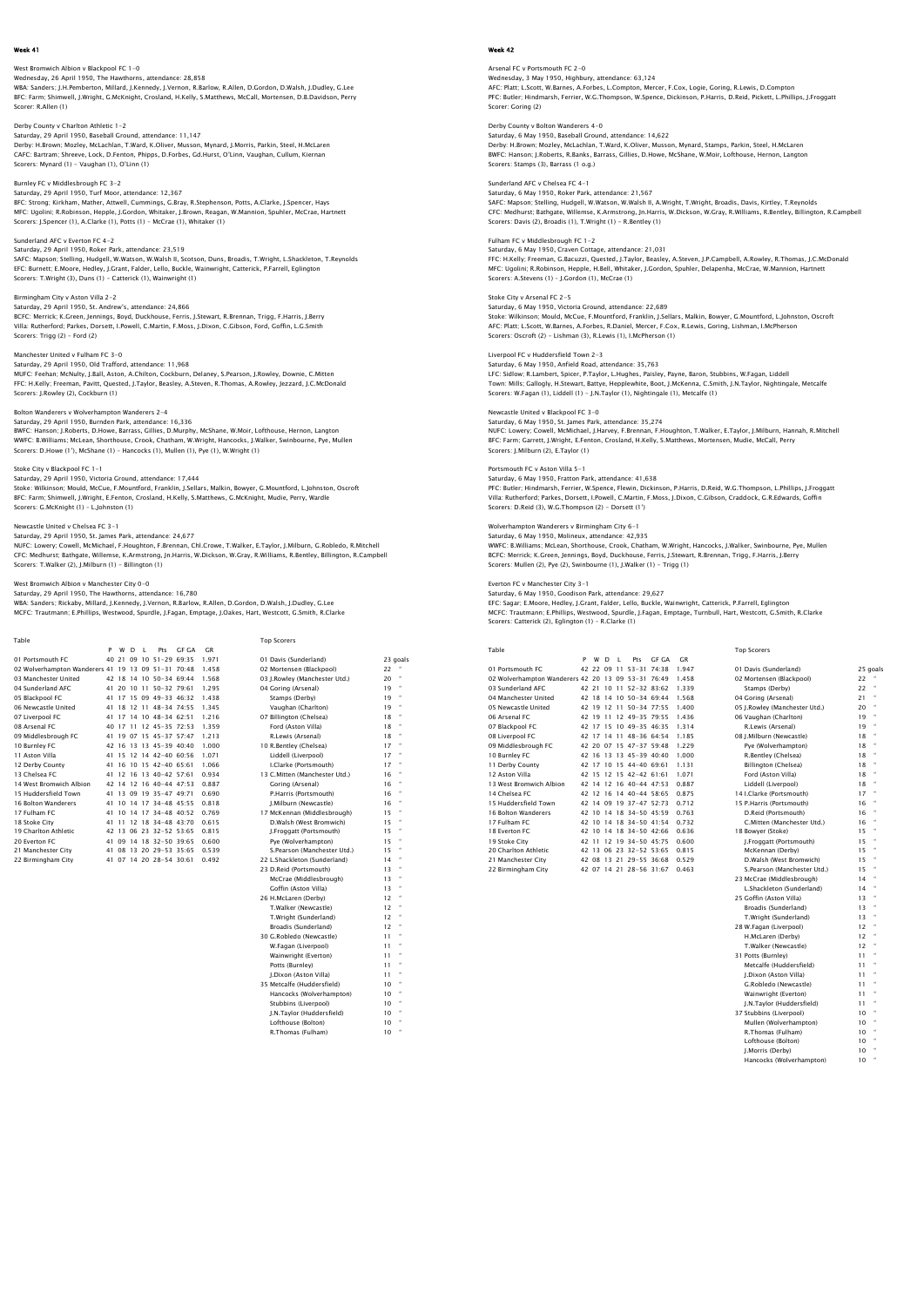# West Bromwich Albion v Blackpool FC 1-0 Wednesday, 26 April 1950, The Hawthorns, attendance: 28,858

WBA: Sanders; J.H.Pemberton, Millard, J.Kennedy, J.Vernon, R.Barlow, R.Allen, D.Gordon, D.Walsh, J.Dudley, G.Lee<br>BFC: Farm; Shimwell, J.Wright, G.McKnight, Crosland, H.Kelly, S.Matthews, McCall, Mortensen, D.B.Davidson, Pe Scorer: R.Allen (1)

### Derby County v Charlton Athletic 1-2

Saturday, 29 April 1950, Baseball Ground, attendance: 11,147 Derby: H.Brown; Mozley, McLachlan, T.Ward, K.Oliver, Musson, Mynard, J.Morris, Parkin, Steel, H.McLaren CAFC: Bartram; Shreeve, Lock, D.Fenton, Phipps, D.Forbes, Gd.Hurst, O'Linn, Vaughan, Cullum, Kiernan Scorers: Mynard (1) - Vaughan (1), O'Linn (1)

# Burnley FC v Middlesbrough FC 3-2

Saturday, 29 April 1950, Turf Moor, attendance: 12,367<br>BFC: Strong: Kirkham, Mather, Attwell, Cummings, G.Bray, R.Stephenson, Potts, A.Clarke, J.Spencer, Hays<br>MFC: Ugolni; R.Robinson, Hepple, J.Gordon, Whitaker, J.Brown, R

### Sunderland AFC v Everton FC 4-2

Saturday, 29 April 1950, Roker Park, attendance: 23,519 SAFC: Mapson; Stelling, Hudgell, W.Watson, W.Walsh II, Scotson, Duns, Broadis, T.Wright, L.Shackleton, T.Reynolds<br>EFC: Burnett; E.Moore, Hedley, J.Grant, Falder, Lello, Buckle, Wainwright, Catterick, P.Farrell, Eglington Scorers: T.Wright (3), Duns (1) - Catterick (1), Wainwright (1)

## Birmingham City v Aston Villa 2-2

Saturday, 29 April 1950, St. Andrew's, attendance: 24,866<br>RCEC: Merrick: K. Creen, Jennings, Boyd, Duckhouse, Ferris, J. Stewart, B. Brennan, Tring, E. Harris, J. Berry BCFC: Merrick; K.Green, Jennings, Boyd, Duckhouse, Ferris, J.Stewart, R.Brennan, Trigg, F.Harris, J.Berry<br>Villa: Rutherford; Parkes, Dorsett, I.Powell, C.Martin, F.Moss, J.Dixon, C.Gibson, Ford, Goffin, L.G.Smith<br>Scorers:

## Manchester United v Fulham FC 3-0

Saturday, 29 April 1950, Old Trafford, attendance: 11,968<br>MUFC: Feehan; McNulty, J.Ball, Aston, A.Chilton, Cockburn, Delaney, S.Pearson, J.Rowley, Downie, C.Mitten<br>FFC: H.Kelly: Freeman, Pavitt, Quested, J.Taylor, Beasley, Scorers: J.Rowley (2), Cockburn (1)

### Bolton Wanderers v Wolverhampton Wanderers 2-4

Saturday, 29 April 1950, Burnden Park, attendance: 16,336<br>BWFC: Hanson; J.Roberts, D.Howe, Barrass, Gillies, D.Murphy, McShane, W.Moir, Lofthouse, Hernon, Langton<br>WWFC: B.Williams; McLean, Shorthouse, Crook, Chatham, W.Wri

# Stoke City v Blackpool FC 1-1

Saturday, 29 April 1950, Victoria Ground, attendance: 17,444<br>Stoke: Wilkinson; Mould, McCue, F. Mountford, Franklin, J.Sellars, Malkin, Bowyer, G.Mountford, L.Johnston, Oscroft<br>BFC: Farm: Shimwell, J.Wright, E.Fenton, Cros Scorers: G.McKnight (1) – L.Johnston (1)

Newcastle United v Chelsea FC 3–1<br>Saturday, 29 April 1950, St. James Park, attendance: 24,677<br>NUFC: Lowery; Cowell, McMichael, F.Houghton, F.Brennan, Chi.Crowe, T.Walker, E.Taylor, J.Milburn, G.Robledo, R.Mitchell<br>NUFC: Lo Scorers: T.Walker (2), J.Milburn (1) - Billington (1)

## vich Albion v Manchester City 0-0

Saturday, 29 April 1950, The Hawthorns, attendance: 16,780 WBA: Sanders; Rickaby, Millard, J.Kennedy, J.Vernon, R.Barlow, R.Allen, D.Gordon, D.Walsh, J.Dudley, G.Lee MCFC: Trautmann; E.Phillips, Westwood, Spurdle, J.Fagan, Emptage, J.Oakes, Hart, Westcott, G.Smith, R.Clarke

| Table                                              |   |   |    |     |                         |              |       | <b>Top Scorers</b>            |    |          |
|----------------------------------------------------|---|---|----|-----|-------------------------|--------------|-------|-------------------------------|----|----------|
|                                                    | P | W | D. | - 1 | Pts                     | <b>GF GA</b> | C.R   |                               |    |          |
| 01 Portsmouth FC                                   |   |   |    |     | 40 21 09 10 51-29 69:35 |              | 1.971 | 01 Davis (Sunderland)         |    | 23 goals |
| 02 Wolverhampton Wanderers 41 19 13 09 51-31 70:48 |   |   |    |     |                         |              | 1.458 | 02 Mortensen (Blackpool)      | 22 |          |
| 03 Manchester United                               |   |   |    |     | 42 18 14 10 50-34 69:44 |              | 1.568 | 03 I.Rowlev (Manchester Utd.) | 20 |          |
| 04 Sunderland AFC                                  |   |   |    |     | 41 20 10 11 50-32 79:61 |              | 1.295 | 04 Goring (Arsenal)           | 19 |          |
| 05 Blackpool FC                                    |   |   |    |     | 41 17 15 09 49-33 46:32 |              | 1.438 | Stamps (Derby)                | 19 |          |
| 06 Newcastle United                                |   |   |    |     | 41 18 12 11 48-34 74.55 |              | 1.345 | Vaughan (Charlton)            | 19 |          |
| 07 Liverpool FC                                    |   |   |    |     | 41 17 14 10 48-34 62.51 |              | 1.216 | 07 Billington (Chelsea)       | 18 |          |
| 08 Arsenal FC                                      |   |   |    |     | 40 17 11 12 45-35 72:53 |              | 1.359 | Ford (Aston Villa)            | 18 |          |
| 09 Middlesbrough FC                                |   |   |    |     | 41 19 07 15 45-37 57:47 |              | 1.213 | R.Lewis (Arsenal)             | 18 |          |
| 10 Burnley FC                                      |   |   |    |     | 42 16 13 13 45-39 40:40 |              | 1.000 | 10 R.Bentley (Chelsea)        | 17 |          |
| 11 Aston Villa                                     |   |   |    |     | 41 15 12 14 42-40 60:56 |              | 1.071 | Liddell (Liverpool)           | 17 |          |
| 12 Derby County                                    |   |   |    |     | 41 16 10 15 42-40 65:61 |              | 1.066 | I.Clarke (Portsmouth)         | 17 |          |
| 13 Chelsea EC                                      |   |   |    |     | 41 12 16 13 40-42 57.61 |              | 0.934 | 13 C.Mitten (Manchester Utd.) | 16 |          |
| 14 West Bromwich Albion                            |   |   |    |     | 42 14 12 16 40-44 47:53 |              | 0.887 | Goring (Arsenal)              | 16 |          |
| 15 Huddersfield Town                               |   |   |    |     | 41 13 09 19 35-47 49:71 |              | 0.690 | P.Harris (Portsmouth)         | 16 |          |
| 16 Bolton Wanderers                                |   |   |    |     | 41 10 14 17 34-48 45:55 |              | 0.818 | J.Milburn (Newcastle)         | 16 |          |
| 17 Fulham FC                                       |   |   |    |     | 41 10 14 17 34-48 40:52 |              | 0.769 | 17 McKennan (Middlesbrough)   | 15 |          |
| 18 Stoke City                                      |   |   |    |     | 41 11 12 18 34-48 43:70 |              | 0.615 | D.Walsh (West Bromwich)       | 15 |          |
| 19 Charlton Athletic                               |   |   |    |     | 42 13 06 23 32-52 53:65 |              | 0.815 | J.Froqqatt (Portsmouth)       | 15 |          |
| 20 Everton EC                                      |   |   |    |     | 41 09 14 18 32-50 39:65 |              | 0.600 | Pve (Wolverhampton)           | 15 |          |
| 21 Manchester City                                 |   |   |    |     | 41 08 13 20 29-53 35:65 |              | 0.539 | S.Pearson (Manchester Utd.)   | 15 |          |
| 22 Birmingham City                                 |   |   |    |     | 41 07 14 20 28-54 30:61 |              | 0.492 | 22 L.Shackleton (Sunderland)  | 14 |          |
|                                                    |   |   |    |     |                         |              |       | 23 D.Reid (Portsmouth)        | 13 |          |
|                                                    |   |   |    |     |                         |              |       | McCrae (Middlesbrough)        | 13 |          |
|                                                    |   |   |    |     |                         |              |       | Goffin (Aston Villa)          | 13 |          |
|                                                    |   |   |    |     |                         |              |       | 26 H.McLaren (Derby)          | 12 |          |
|                                                    |   |   |    |     |                         |              |       | T.Walker (Newcastle)          | 12 |          |
|                                                    |   |   |    |     |                         |              |       | T.Wright (Sunderland)         | 12 |          |
|                                                    |   |   |    |     |                         |              |       | Broadis (Sunderland)          | 12 |          |
|                                                    |   |   |    |     |                         |              |       | 30 G.Robledo (Newcastle)      | 11 |          |

W.Fagan (Liverpool) 11<br>Wainwright (Everton) 11<br>Potts (Burnley) 11 Wainwright (Everton)

 Potts (Burnley) 11 " J.Dixon (Aston Villa) 11 " 35 Metcalfe (Huddersfield) 10 " Hancocks (Wolverhampton) 10 Stubbins (Liverpool) 10 " J.N.Taylor (Huddersfield) 10 " Lofthouse (Bolton) 10 " R.Thomas (Fulham) 10 "

### Week 42

Arsenal FC v Portsmouth FC 2–0<br>Wednesday, 3 May 1950, Highbury, attendance: 63,124<br>AFC: Platt, L.Scott, W.Barnes, A.Forbes, L.Compton, Mercer, F.Cox, Logie, Goring, R.Lewis, D.Compton<br>PFC: Butler; Hindmarsh, Ferrier, W.G.T Scorer: Goring (2)

## Derby County v Bolton Wanderers 4-0 Saturday, 6 May 1950, Baseball Ground, attendance: 14,622 Derby: H.Brown; Mozley, McLachlan, T.Ward, K.Oliver, Musson, Mynard, Stamps, Parkin, Steel, H.McLaren BWFC: Hanson; J.Roberts, R.Banks, Barrass, Gillies, D.Howe, McShane, W.Moir, Lofthouse, Hernon, Langton Scorers: Stamps (3), Barrass (1 o.g.)

Sunderland AFC v Chelsea FC 4-1 Saturday, 6 May 1950, Roker Park, attendance: 21,567 SAFC: Mapson; Stelling, Hudgell, W.Watson, W.Walsh II, A.Wright, T.Wright, Broadis, Davis, Kirtley, T.Reynolds CFC: Medhurst; Bathgate, Willemse, K.Armstrong, Jn.Harris, W.Dickson, W.Gray, R.Williams, R.Bentley, Billington, R.Campbel<br>Scorers: Davis (2), Broadis (1), T.Wright (1) – R.Bentley (1)

## Fulham FC v Middlesbrough FC 1-2

Saturday, 6 May 1950, Craven Cottage, attendance: 21,031 FFC: H.Kelly; Freeman, G.Bacuzzi, Quested, J.Taylor, Beasley, A.Steven, J.P.Campbell, A.Rowley, R.Thomas, J.C.McDonald<br>MFC: Uqolini; R.Robinson, Hepple, H.Bell, Whitaker, J.Gordon, Spuhler, Delapenha, McCrae, W.Mannion, Ha Scorers: A.Stevens (1) – J.Gordon (1), McCrae (1)

### Stoke City v Arsenal FC 2-5 Saturday, 6 May 1950, Victoria Ground, attendance: 22,689

Stoke: Wilkinson; Mould, McCue, F.Mountford, Franklin, J.Sellars, Malkin, Bowyer, G.Mountford, L.Johnston, Oscroft AFC: Platt; L.Scott, W.Barnes, A.Forbes, R.Daniel, Mercer, F.Cox, R.Lewis, Goring, Lishman, I.McPherson Scorers: Oscroft (2) - Lishman (3), R.Lewis (1), I.McPherson (1)

## Liverpool FC v Huddersfield Town 2-3

Saturday, 6 May 1950, Anfield Road, attendance: 35,763<br>LFC: Sidlow; R.Lambert, Spicer, P.Taylor, L.Hughes, Paisley, Payne, Baron, Stubbins, W.Fagan, Liddell<br>Town: Milis; Gallogly, H.Stewart, Battye, Hepplewhite, Boot, J.Mc

Newcastle United v Blackpool FC 3-0<br>Saturday, 6 May 1950, St. James Park, attendance: 35,274<br>NUFC: Lowery: Cowell, McMichael, J.Harvey, F.Brennan, F.Houghton, T.Walker, E.Taylor, J.Milburn, Hannah, R.Mitchel<br>BFC: Farm; Gar

### Portsmouth FC v Aston Villa 5-1

Saturday, 6 May 1950, Fratton Park, attendance: 41,638<br>PFC: Butler; Hindmarsh, Ferrier, W.Spence, Flewin, Dickinson, P.Harris, D.Reid, W.G.Thompson, L.Phillips, J.Froggat<br>Villa: Rutherford: Parkes, Dorsett, I.Powell, C.Mar Scorers: D.Reid (3), W.G.Thompson (2) - Dorsett (1')

Wolverhampton Wanderers v Birmingham City 6–1<br>Saturday, 6 May 1950, Molineux, attendance: 42,935<br>WWFC: B.Williams; McLean, Shorthouse, Crook, Chatham, W.Wright, Hancocks, J.Walker, Swinbourne, Pye, Mullen<br>BCFC: Merrick; K. Scorers: Mullen (2), Pye (2), Swinbourne (1), J.Walker (1) - Trigg (1)

# Everton FC v Manchester City 3-1

Saturday, 6 May 1950, Goodison Park, attendance: 29,627 EFC: Sagar; E.Moore, Hedley, J.Grant, Falder, Lello, Buckle, Wainwright, Catterick, P.Farrell, Eglington MCFC: Trautmann; E.Phillips, Westwood, Spurdle, J.Fagan, Emptage, Turnbull, Hart, Westcott, G.Smith, R.Clarke Scorers: Catterick (2), Eglington (1) – R.Clarke (1)

| Table | <b>Top Scorers</b> |
|-------|--------------------|

| Þ | W | D. | л. | Pts | <b>GF GA</b> | <b>GR</b>                                                                                                                                                                                                                                                                                                                                                                                                                                                                                                                                                                                                                                 |                               |          |                      |
|---|---|----|----|-----|--------------|-------------------------------------------------------------------------------------------------------------------------------------------------------------------------------------------------------------------------------------------------------------------------------------------------------------------------------------------------------------------------------------------------------------------------------------------------------------------------------------------------------------------------------------------------------------------------------------------------------------------------------------------|-------------------------------|----------|----------------------|
|   |   |    |    |     |              | 1.947                                                                                                                                                                                                                                                                                                                                                                                                                                                                                                                                                                                                                                     | 01 Davis (Sunderland)         | 25 goals |                      |
|   |   |    |    |     |              | 1.458                                                                                                                                                                                                                                                                                                                                                                                                                                                                                                                                                                                                                                     | 02 Mortensen (Blackpool)      | 22       |                      |
|   |   |    |    |     |              | 1.339                                                                                                                                                                                                                                                                                                                                                                                                                                                                                                                                                                                                                                     | Stamps (Derby)                | 22       |                      |
|   |   |    |    |     |              | 1.568                                                                                                                                                                                                                                                                                                                                                                                                                                                                                                                                                                                                                                     | 04 Goring (Arsenal)           | 21       | $\scriptstyle\alpha$ |
|   |   |    |    |     |              | 1.400                                                                                                                                                                                                                                                                                                                                                                                                                                                                                                                                                                                                                                     | 05 I.Rowlev (Manchester Utd.) | 20       | $\alpha$             |
|   |   |    |    |     |              | 1.436                                                                                                                                                                                                                                                                                                                                                                                                                                                                                                                                                                                                                                     | 06 Vaughan (Charlton)         | 19       | $\alpha$             |
|   |   |    |    |     |              | 1.314                                                                                                                                                                                                                                                                                                                                                                                                                                                                                                                                                                                                                                     | R.Lewis (Arsenal)             | 19       | $\alpha$             |
|   |   |    |    |     |              | 1.185                                                                                                                                                                                                                                                                                                                                                                                                                                                                                                                                                                                                                                     | 08 J.Milburn (Newcastle)      | 18       | $\scriptstyle\alpha$ |
|   |   |    |    |     |              | 1.229                                                                                                                                                                                                                                                                                                                                                                                                                                                                                                                                                                                                                                     | Pve (Wolverhampton)           | 18       |                      |
|   |   |    |    |     |              | 1.000                                                                                                                                                                                                                                                                                                                                                                                                                                                                                                                                                                                                                                     | R.Bentley (Chelsea)           | 18       | $\scriptstyle\alpha$ |
|   |   |    |    |     |              | 1.131                                                                                                                                                                                                                                                                                                                                                                                                                                                                                                                                                                                                                                     | Billington (Chelsea)          | 18       |                      |
|   |   |    |    |     |              | 1.071                                                                                                                                                                                                                                                                                                                                                                                                                                                                                                                                                                                                                                     | Ford (Aston Villa)            | 18       | $\alpha$             |
|   |   |    |    |     |              | 0.887                                                                                                                                                                                                                                                                                                                                                                                                                                                                                                                                                                                                                                     | Liddell (Liverpool)           | 18       |                      |
|   |   |    |    |     |              | 0.875                                                                                                                                                                                                                                                                                                                                                                                                                                                                                                                                                                                                                                     | 14 I.Clarke (Portsmouth)      | 17       | $\scriptstyle\alpha$ |
|   |   |    |    |     |              | 0.712                                                                                                                                                                                                                                                                                                                                                                                                                                                                                                                                                                                                                                     | 15 P.Harris (Portsmouth)      | 16       |                      |
|   |   |    |    |     |              | 0.763                                                                                                                                                                                                                                                                                                                                                                                                                                                                                                                                                                                                                                     | D.Reid (Portsmouth)           | 16       |                      |
|   |   |    |    |     |              | 0.732                                                                                                                                                                                                                                                                                                                                                                                                                                                                                                                                                                                                                                     | C.Mitten (Manchester Utd.)    | 16       |                      |
|   |   |    |    |     |              | 0.636                                                                                                                                                                                                                                                                                                                                                                                                                                                                                                                                                                                                                                     | 18 Bowyer (Stoke)             | 15       | $\alpha$             |
|   |   |    |    |     |              | 0.600                                                                                                                                                                                                                                                                                                                                                                                                                                                                                                                                                                                                                                     | I.Froggatt (Portsmouth)       | 15       | $\scriptstyle\rm{m}$ |
|   |   |    |    |     |              | 0.815                                                                                                                                                                                                                                                                                                                                                                                                                                                                                                                                                                                                                                     | McKennan (Derby)              | 15       | $\scriptstyle\alpha$ |
|   |   |    |    |     |              | 0.529                                                                                                                                                                                                                                                                                                                                                                                                                                                                                                                                                                                                                                     | D.Walsh (West Bromwich)       | 15       | $\scriptstyle\alpha$ |
|   |   |    |    |     |              | 0.463                                                                                                                                                                                                                                                                                                                                                                                                                                                                                                                                                                                                                                     | S.Pearson (Manchester Utd.)   | 15       |                      |
|   |   |    |    |     |              |                                                                                                                                                                                                                                                                                                                                                                                                                                                                                                                                                                                                                                           | 23 McCrae (Middlesbrough)     | 14       | $\alpha$             |
|   |   |    |    |     |              |                                                                                                                                                                                                                                                                                                                                                                                                                                                                                                                                                                                                                                           | L.Shackleton (Sunderland)     | 14       | $\alpha$             |
|   |   |    |    |     |              | 42 22 09 11 53-31 74 38<br>02 Wolverhampton Wanderers 42 20 13 09 53-31 76:49<br>42 21 10 11 52-32 83:62<br>42 18 14 10 50-34 69:44<br>42 19 12 11 50-34 77:55<br>42 19 11 12 49-35 79:55<br>42 17 15 10 49-35 46:35<br>42 17 14 11 48-36 64:54<br>42 20 07 15 47-37 59:48<br>42 16 13 13 45-39 40:40<br>42 17 10 15 44-40 69.61<br>42 15 12 15 42-42 61.61<br>42 14 12 16 40-44 47:53<br>42 12 16 14 40-44 58:65<br>42 14 09 19 37-47 52:73<br>42 10 14 18 34-50 45:59<br>42 10 14 18 34-50 41:54<br>42 10 14 18 34-50 42:66<br>42 11 12 19 34-50 45:75<br>42 13 06 23 32-52 53:65<br>42 08 13 21 29-55 36:68<br>42 07 14 21 28-56 31:67 |                               |          |                      |

04 Manchester United 42 18 14 10 50-34 69:44 1.568 04 Goring (Arsenal) 21 " 17 Fulham Fulham Fulham Fulham Fulham Fulham Fulham Fulham Fulham Fulham Fulham Fulham Fulham Fulham Fulham Fulham Fulham Fulham Fulham Fulham Fulham Fulham Fulham Fulham Fulham Fulham Fulham Fulham Fulham Fulham Fulham Fu 25 Goffin (Aston Villa) 13<br>Broadis (Sunderland) 13 Broadis (Sunderland)<br>
13 T.Wright (Sunderland)<br>
13 W.Fagan (Liverpool)<br>
12 H.McLaren (Derby)<br>
12 T.Wright (Sunderland) 13 " 28 W.Fagan (Liverpool) 12 " H.McLaren (Derby) 12 " T.Walker (Newcastle) 12<br>Potts (Burnley) 11<br>Metcalfe (Huddersfield) 11 31 Potts (Burnley) Metcalfe (Huddersfield) 11<br>
11 J.Dixon (Aston Villa) 11<br>
11 G.Robledo (Newcastle) 11 J.Dixon (Aston Villa) 11 " G.Robledo (Newcastle) 11 " Wainwright (Everton) 11 J.N.Taylor (Huddersfield) 11<br>Stubbins (Livernool) 10 37 Stubbins (Liverpool)<br>
10 10 Mullen (Wolverhampton)<br>
10 R.Thomas (Fulham) 10

 Mullen (Wolverhampton) 10 " R.Thomas (Fulham) 10 " Lofthouse (Bolton) 10 J.Morris (Derby) 10<br>Hancocks (Wolverhampton) 10 Hancocks (Wolverhampton) 10 "